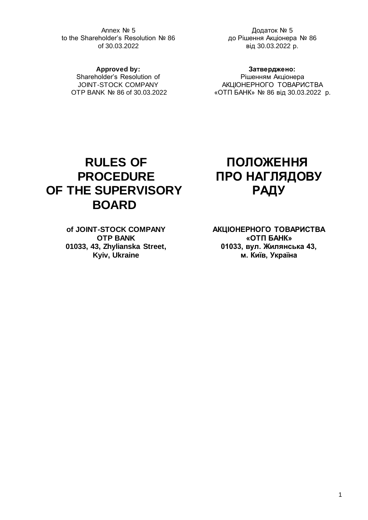Annex № 5 to the Shareholder's Resolution № 86 of 30.03.2022

Додаток № 5 до Рішення Акціонера № 86 від 30.03.2022 р.

**Approved by:** Shareholder's Resolution of JOINT-STOCK COMPANY OTP BANK № 86 of 30.03.2022

**Затверджено:** Рішенням Акціонера АКЦІОНЕРНОГО ТОВАРИСТВА «ОТП БАНК» № 86 від 30.03.2022 р.

# **RULES OF PROCEDURE OF THE SUPERVISORY BOARD**

**of JOINT-STOCK COMPANY OTP BANK 01033, 43, Zhylianska Street, Kyiv, Ukraine**

# **ПОЛОЖЕННЯ ПРО НАГЛЯДОВУ РАДУ**

**АКЦІОНЕРНОГО ТОВАРИСТВА «ОТП БАНК» 01033, вул. Жилянська 43, м. Київ, Україна**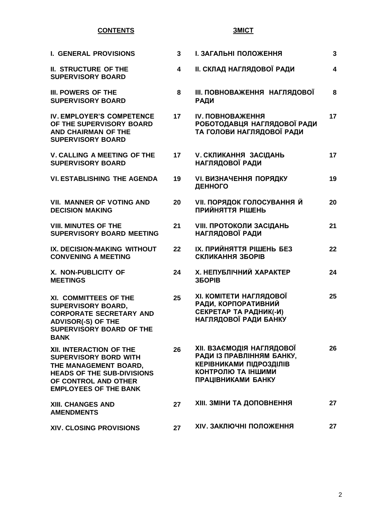# **CONTENTS**

# **ЗМІСТ**

| <b>I. GENERAL PROVISIONS</b>                                                                                                                                                  | $\mathbf{3}$            | І. ЗАГАЛЬНІ ПОЛОЖЕННЯ                                                                                                                              | 3                       |
|-------------------------------------------------------------------------------------------------------------------------------------------------------------------------------|-------------------------|----------------------------------------------------------------------------------------------------------------------------------------------------|-------------------------|
| <b>II. STRUCTURE OF THE</b><br><b>SUPERVISORY BOARD</b>                                                                                                                       | $\overline{\mathbf{4}}$ | <b>II. СКЛАД НАГЛЯДОВОЇ РАДИ</b>                                                                                                                   | $\overline{\mathbf{4}}$ |
| III. POWERS OF THE<br><b>SUPERVISORY BOARD</b>                                                                                                                                | 8                       | <b>III. ПОВНОВАЖЕННЯ НАГЛЯДОВОЇ</b><br><b>РАДИ</b>                                                                                                 | 8                       |
| IV. EMPLOYER'S COMPETENCE<br>OF THE SUPERVISORY BOARD<br><b>AND CHAIRMAN OF THE</b><br><b>SUPERVISORY BOARD</b>                                                               | 17                      | IV. ПОВНОВАЖЕННЯ<br>РОБОТОДАВЦЯ НАГЛЯДОВОЇ РАДИ<br>ТА ГОЛОВИ НАГЛЯДОВОЇ РАДИ                                                                       | 17                      |
| <b>V. CALLING A MEETING OF THE</b><br><b>SUPERVISORY BOARD</b>                                                                                                                | 17                      | <b>V. СКЛИКАННЯ ЗАСІДАНЬ</b><br><b>НАГЛЯДОВОЇ РАДИ</b>                                                                                             | 17                      |
| <b>VI. ESTABLISHING THE AGENDA</b>                                                                                                                                            | 19                      | <b>VI. ВИЗНАЧЕННЯ ПОРЯДКУ</b><br>ДЕННОГО                                                                                                           | 19                      |
| <b>VII. MANNER OF VOTING AND</b><br><b>DECISION MAKING</b>                                                                                                                    | 20                      | <b>VII. ПОРЯДОК ГОЛОСУВАННЯ Й</b><br>ПРИЙНЯТТЯ РІШЕНЬ                                                                                              | 20                      |
| <b>VIII. MINUTES OF THE</b><br><b>SUPERVISORY BOARD MEETING</b>                                                                                                               | 21                      | <b>VIII. ПРОТОКОЛИ ЗАСІДАНЬ</b><br>НАГЛЯДОВОЇ РАДИ                                                                                                 | 21                      |
| IX. DECISION-MAKING WITHOUT<br><b>CONVENING A MEETING</b>                                                                                                                     | 22                      | IX. ПРИЙНЯТТЯ РІШЕНЬ БЕЗ<br>СКЛИКАННЯ ЗБОРІВ                                                                                                       | 22                      |
| X. NON-PUBLICITY OF<br><b>MEETINGS</b>                                                                                                                                        | 24                      | Х. НЕПУБЛІЧНИЙ ХАРАКТЕР<br><b>35OPIB</b>                                                                                                           | 24                      |
| XI. COMMITTEES OF THE<br><b>SUPERVISORY BOARD,</b><br><b>CORPORATE SECRETARY AND</b><br><b>ADVISOR(-S) OF THE</b><br>SUPERVISORY BOARD OF THE<br><b>BANK</b>                  | 25                      | ХІ. КОМІТЕТИ НАГЛЯДОВОЇ<br>РАДИ, КОРПОРАТИВНИЙ<br>СЕКРЕТАР ТА РАДНИК(-И)<br>НАГЛЯДОВОЇ РАДИ БАНКУ                                                  | 25                      |
| XII. INTERACTION OF THE<br><b>SUPERVISORY BORD WITH</b><br>THE MANAGEMENT BOARD,<br><b>HEADS OF THE SUB-DIVISIONS</b><br>OF CONTROL AND OTHER<br><b>EMPLOYEES OF THE BANK</b> | 26                      | <b>XII. ВЗАЄМОДІЯ НАГЛЯДОВОЇ</b><br>РАДИ ІЗ ПРАВЛІННЯМ БАНКУ,<br><b>КЕРІВНИКАМИ ПІДРОЗДІЛІВ</b><br>КОНТРОЛЮ ТА ІНШИМИ<br><b>ПРАЦІВНИКАМИ БАНКУ</b> | 26                      |
| <b>XIII. CHANGES AND</b><br><b>AMENDMENTS</b>                                                                                                                                 | 27                      | <b>XIII. ЗМІНИ ТА ДОПОВНЕННЯ</b>                                                                                                                   | 27                      |
| <b>XIV. CLOSING PROVISIONS</b>                                                                                                                                                | 27                      | <b>XIV. ЗАКЛЮЧНІ ПОЛОЖЕННЯ</b>                                                                                                                     | 27                      |

2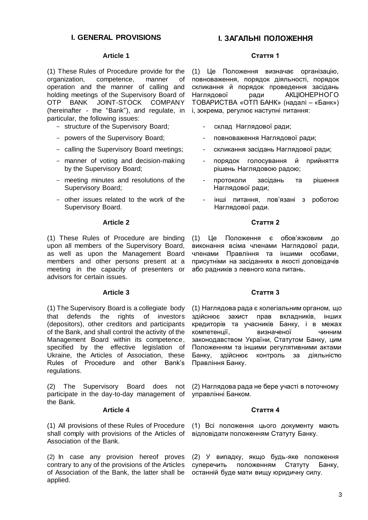# **I. GENERAL PROVISIONS І. ЗАГАЛЬНІ ПОЛОЖЕННЯ**

#### **Article 1**

(1) These Rules of Procedure provide for the organization, competence, manner of operation and the manner of calling and holding meetings of the Supervisory Board of OTP BANK JOINT-STOCK COMPANY (hereinafter - the "Bank"), and regulate, in particular, the following issues:

- structure of the Supervisory Board;
- powers of the Supervisory Board;
- calling the Supervisory Board meetings;
- manner of voting and decision-making by the Supervisory Board;
- meeting minutes and resolutions of the Supervisory Board;
- other issues related to the work of the Supervisory Board.

#### **Article 2**

(1) These Rules of Procedure are binding upon all members of the Supervisory Board, as well as upon the Management Board members and other persons present at a meeting in the capacity of presenters or advisors for certain issues.

#### **Article 3**

(1) The Supervisory Board is a collegiate body that defends the rights of investors (depositors), other creditors and participants of the Bank, and shall control the activity of the Management Board within its competence, specified by the effective legislation of Ukraine, the Articles of Association, these Rules of Procedure and other Bank's regulations.

The Supervisory Board does not participate in the day-to-day management of the Bank.

#### **Article 4**

(1) All provisions of these Rules of Procedure shall comply with provisions of the Articles of Association of the Bank.

(2) In case any provision hereof proves contrary to any of the provisions of the Articles of Association of the Bank, the latter shall be applied.

#### **Стаття 1**

(1) Це Положення визначає організацію, повноваження, порядок діяльності, порядок скликання й порядок проведення засідань Наглядової ради АКЦІОНЕРНОГО ТОВАРИСТВА «ОТП БАНК» (надалі – «Банк») і, зокрема, регулює наступні питання:

- склад Наглядової ради;
- повноваження Наглядової ради;
- скликання засідань Наглядової ради;
- порядок голосування й прийняття рішень Наглядовою радою;
- протоколи засідань та рішення Наглядової ради;
- інші питання, пов'язані з роботою Наглядової ради.

#### **Стаття 2**

(1) Це Положення є обов'язковим до виконання всіма членами Наглядової ради, членами Правління та іншими особами, присутніми на засіданнях в якості доповідачів або радників з певного кола питань.

#### **Стаття 3**

(1) Наглядова рада є колегіальним органом, що здійснює захист прав вкладників, інших кредиторів та учасників Банку, і в межах компетенції, визначеної чинним законодавством України, Статутом Банку, цим Положенням та іншими регулятивними актами Банку, здійснює контроль за діяльністю Правління Банку.

(2) Наглядова рада не бере участі в поточному управлінні Банком.

#### **Стаття 4**

(1) Всі положення цього документу мають відповідати положенням Статуту Банку.

(2) У випадку, якщо будь-яке положення суперечить положенням Статуту Банку, останній буде мати вищу юридичну силу.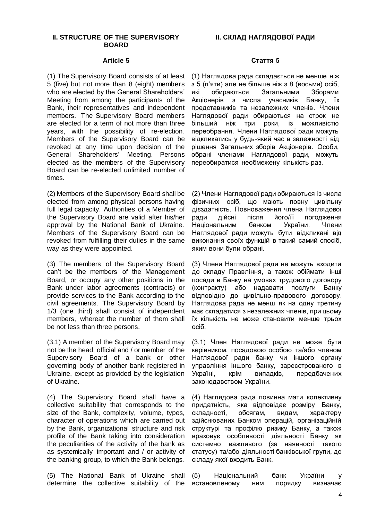#### **II. STRUCTURE OF THE SUPERVISORY BOARD**

#### **Article 5**

(1) The Supervisory Board consists of at least 5 (five) but not more than 8 (eight) members who are elected by the General Shareholders' Meeting from among the participants of the Bank, their representatives and independent members. The Supervisory Board members are elected for a term of not more than three years, with the possibility of re-election. Members of the Supervisory Board can be revoked at any time upon decision of the General Shareholders' Meeting. Persons elected as the members of the Supervisory Board can be re-elected unlimited number of times.

(2) Members of the Supervisory Board shall be elected from among physical persons having full legal capacity. Authorities of a Member of the Supervisory Board are valid after his/her approval by the National Bank of Ukraine. Members of the Supervisory Board can be revoked from fulfilling their duties in the same way as they were appointed.

(3) The members of the Supervisory Board can't be the members of the Management Board, or occupy any other positions in the Bank under labor agreements (contracts) or provide services to the Bank according to the civil agreements. The Supervisory Board by 1/3 (one third) shall consist of independent members, whereat the number of them shall be not less than three persons.

(3.1) A member of the Supervisory Board may not be the head, official and / or member of the Supervisory Board of a bank or other governing body of another bank registered in Ukraine, except as provided by the legislation of Ukraine.

(4) The Supervisory Board shall have a collective suitability that corresponds to the size of the Bank, complexity, volume, types, character of operations which are carried out by the Bank, organizational structure and risk profile of the Bank taking into consideration the peculiarities of the activity of the bank as as systemically important and / or activity of the banking group, to which the Bank belongs.

(5) The National Bank of Ukraine shall determine the collective suitability of the

#### **Стаття 5**

(1) Наглядова рада складається не менше ніж з 5 (п'яти) але не більше ніж з 8 (восьми) осіб, які обираються Загальними Зборами Акціонерів з числа учасників Банку, їх представників та незалежних членів. Члени Наглядової ради обираються на строк не більший ніж три роки, із можливістю переобрання. Члени Наглядової ради можуть відкликатись у будь-який час в залежності від рішення Загальних зборів Акціонерів. Особи, обрані членами Наглядової ради, можуть переобиратися необмежену кількість раз.

(2) Члени Наглядової ради обираються із числа фізичних осіб, що мають повну цивільну дієздатність. Повноваження члена Наглядової ради дійсні після його/її погодження<br>Національним банком України. Члени Національним банком України. Наглядової ради можуть бути відкликані від виконання своїх функцій в такий самий спосіб, яким вони були обрані.

(3) Члени Наглядової ради не можуть входити до складу Правління, а також обіймати інші посади в Банку на умовах трудового договору (контракту) або надавати послуги Банку відповідно до цивільно-правового договору. Наглядова рада не менш як на одну третину має складатися з незалежних членів, при цьому їх кількість не може становити менше трьох осіб.

(3.1) Член Наглядової ради не може бути керівником, посадовою особою та/або членом Наглядової ради банку чи іншого органу управління іншого банку, зареєстрованого в Україні, крім випадків, передбачених законодавством України.

(4) Наглядова рада повинна мати колективну придатність, яка відповідає розміру Банку, складності, обсягам, видам, характеру здійснюваних Банком операцій, організаційній структурі та профілю ризику Банку, а також враховує особливості діяльності Банку як системно важливого (за наявності такого статусу) та/або діяльності банківської групи, до складу якої входить Банк.

(5) Національний банк України у встановленому ним порядку визначає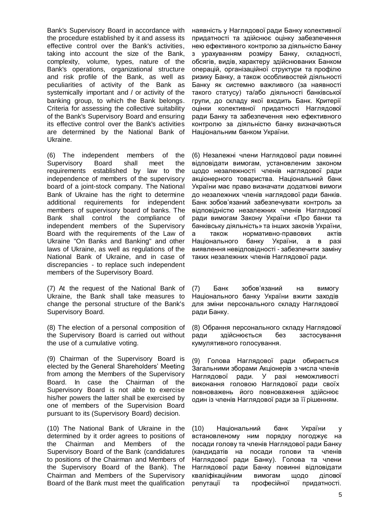Bank's Supervisory Board in accordance with the procedure established by it and assess its effective control over the Bank's activities, taking into account the size of the Bank, complexity, volume, types, nature of the Bank's operations, organizational structure and risk profile of the Bank, as well as peculiarities of activity of the Bank as systemically important and / or activity of the banking group, to which the Bank belongs. Criteria for assessing the collective suitability of the Bank's Supervisory Board and ensuring its effective control over the Bank's activities are determined by the National Bank of Ukraine.

(6) The independent members of the Supervisory Board shall meet the requirements established by law to the independence of members of the supervisory board of a joint-stock company. The National Bank of Ukraine has the right to determine additional requirements for independent members of supervisory board of banks. The Bank shall control the compliance of independent members of the Supervisory Board with the requirements of the Law of Ukraine "On Banks and Banking" and other laws of Ukraine, as well as regulations of the National Bank of Ukraine, and in case of discrepancies - to replace such independent members of the Supervisory Board.

(7) At the request of the National Bank of Ukraine, the Bank shall take measures to change the personal structure of the Bank's Supervisory Board.

(8) The election of a personal composition of the Supervisory Board is carried out without the use of a cumulative voting.

(9) Chairman of the Supervisory Board is elected by the General Shareholders' Meeting from among the Members of the Supervisory Board. In case the Chairman of the Supervisory Board is not able to exercise his/her powers the latter shall be exercised by one of members of the Supervision Board pursuant to its (Supervisory Board) decision.

(10) The National Bank of Ukraine in the determined by it order agrees to positions of the Chairman and Members of the Supervisory Board of the Bank (candidatures to positions of the Chairman and Members of the Supervisory Board of the Bank). The Chairman and Members of the Supervisory Board of the Bank must meet the qualification

наявність у Наглядової ради Банку колективної придатності та здійснює оцінку забезпечення нею ефективного контролю за діяльністю Банку з урахуванням розміру Банку, складності, обсягів, видів, характеру здійснюваних Банком операцій, організаційної структури та профілю ризику Банку, а також особливостей діяльності Банку як системно важливого (за наявності такого статусу) та/або діяльності банківської групи, до складу якої входить Банк. Критерії оцінки колективної придатності Наглядової ради Банку та забезпечення нею ефективного контролю за діяльністю банку визначаються Національним банком України.

(6) Незалежні члени Наглядової ради повинні відповідати вимогам, установленим законом щодо незалежності членів наглядової ради акціонерного товариства. Національний банк України має право визначати додаткові вимоги до незалежних членів наглядової ради банків. Банк зобов'язаний забезпечувати контроль за відповідністю незалежних членів Наглядової ради вимогам Закону України «Про банки та банківську діяльність» та інших законів України, а також нормативно-правових актів Національного банку України, а в разі виявлення невідповідності - забезпечити заміну таких незалежних членів Наглядової ради.

(7) Банк зобов'язаний на вимогу Національного банку України вжити заходів для зміни персонального складу Наглядової ради Банку.

(8) Обрання персонального складу Наглядової ради здійснюється без застосування кумулятивного голосування.

(9) Голова Наглядової ради обирається Загальними зборами Акціонерів з числа членів Наглядової ради. У разі неможливості виконання головою Наглядової ради своїх повноважень його повноваження здійснює один із членів Наглядової ради за її рішенням.

(10) Національний банк України у встановленому ним порядку погоджує на посади голову та членів Наглядової ради Банку (кандидатів на посади голови та членів Наглядової ради Банку). Голова та члени Наглядової ради Банку повинні відповідати кваліфікаційним вимогам щодо ділової репутації та професійної придатності.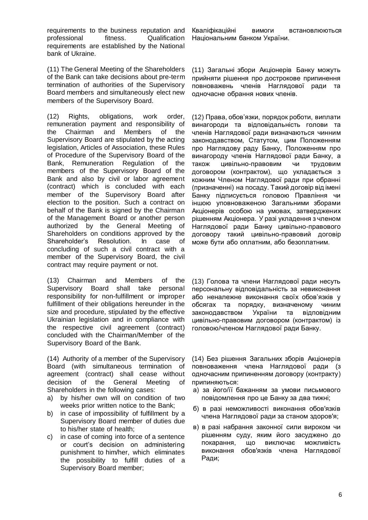requirements to the business reputation and professional fitness. Qualification requirements are established by the National bank of Ukraine.

(11) The General Meeting of the Shareholders of the Bank can take decisions about pre-term termination of authorities of the Supervisory Board members and simultaneously elect new members of the Supervisory Board.

(12) Rights, obligations, work order, remuneration payment and responsibility of the Chairman and Members of the Supervisory Board are stipulated by the acting legislation, Articles of Association, these Rules of Procedure of the Supervisory Board of the Bank, Remuneration Regulation of the members of the Supervisory Board of the Bank and also by civil or labor agreement (contract) which is concluded with each member of the Supervisory Board after election to the position. Such a contract on behalf of the Bank is signed by the Chairman of the Management Board or another person authorized by the General Meeting of Shareholders on conditions approved by the Shareholder's Resolution. In case of concluding of such a civil contract with a member of the Supervisory Board, the civil contract may require payment or not.

(13) Chairman and Members of the Supervisory Board shall take personal responsibility for non-fulfillment or improper fulfillment of their obligations hereunder in the size and procedure, stipulated by the effective Ukrainian legislation and in compliance with the respective civil agreement (contract) concluded with the Chairman/Member of the Supervisory Board of the Bank.

(14) Authority of a member of the Supervisory Board (with simultaneous termination of agreement (contract) shall cease without decision of the General Meeting of Shareholders in the following cases:

- a) by his/her own will on condition of two weeks prior written notice to the Bank;
- b) in case of impossibility of fulfillment by a Supervisory Board member of duties due to his/her state of health;
- c) in case of coming into force of a sentence or court's decision on administering punishment to him/her, which eliminates the possibility to fulfill duties of a Supervisory Board member;

Кваліфікаційні вимоги встановлюються Національним банком України.

(11) Загальні збори Акціонерів Банку можуть прийняти рішення про дострокове припинення повноважень членів Наглядової ради та одночасне обрання нових членів.

(12) Права, обов'язки, порядок роботи, виплати винагороди та відповідальність голови та членів Наглядової ради визначаються чинним законодавством, Статутом, цим Положенням про Наглядову раду Банку, Положенням про винагороду членів Наглядової ради Банку, а також цивільно-правовим чи трудовим договором (контрактом), що укладається з кожним Членом Наглядової ради при обранні (призначенні) на посаду. Такий договір від імені Банку підписується головою Правління чи іншою уповноваженою Загальними зборами Акціонерів особою на умовах, затверджених рішенням Акціонера. У разі укладення з членом Наглядової ради Банку цивільно-правового договору такий цивільно-правовий договір може бути або оплатним, або безоплатним.

(13) Голова та члени Наглядової ради несуть персональну відповідальність за невиконання або неналежне виконання своїх обов'язків у обсягах та порядку, визначеному чиним законодавством України та відповідним цивільно-правовим договором (контрактом) із головою/членом Наглядової ради Банку.

(14) Без рішення Загальних зборів Акціонерів повноваження члена Наглядової ради (з одночасним припиненням договору (контракту) припиняються:

- а) за його/її бажанням за умови письмового повідомлення про це Банку за два тижні;
- б) в разі неможливості виконання обов'язків члена Наглядової ради за станом здоров'я;
- в) в разі набрання законної сили вироком чи рішенням суду, яким його засуджено до покарання, що виключає можливість виконання обов'язків члена Наглядової Ради;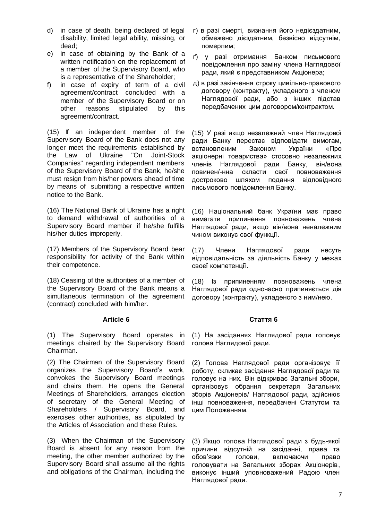- d) in case of death, being declared of legal disability, limited legal ability, missing, or dead;
- e) in case of obtaining by the Bank of a written notification on the replacement of a member of the Supervisory Board, who is a representative of the Shareholder;
- f) in case of expiry of term of a civil agreement/contract concluded with a member of the Supervisory Board or on other reasons stipulated by this agreement/contract.

(15) If an independent member of the Supervisory Board of the Bank does not any longer meet the requirements established by the Law of Ukraine "On Joint-Stock Companies" regarding independent members of the Supervisory Board of the Bank, he/she must resign from his/her powers ahead of time by means of submitting a respective written notice to the Bank.

(16) The National Bank of Ukraine has a right to demand withdrawal of authorities of a Supervisory Board member if he/she fulfills his/her duties improperly.

(17) Members of the Supervisory Board bear responsibility for activity of the Bank within their competence.

(18) Ceasing of the authorities of a member of the Supervisory Board of the Bank means a simultaneous termination of the agreement (contract) concluded with him/her.

# **Article 6**

(1) The Supervisory Board operates in meetings chaired by the Supervisory Board Chairman.

(2) The Chairman of the Supervisory Board organizes the Supervisory Board's work, convokes the Supervisory Board meetings and chairs them. He opens the General Meetings of Shareholders, arranges election of secretary of the General Meeting of Shareholders / Supervisory Board, and exercises other authorities, as stipulated by the Articles of Association and these Rules.

(3) When the Chairman of the Supervisory Board is absent for any reason from the meeting, the other member authorized by the Supervisory Board shall assume all the rights and obligations of the Chairman, including the

- г) в разі смерті, визнання його недієздатним, обмежено дієздатним, безвісно відсутнім, померлим;
- ґ) у разі отримання Банком письмового повідомлення про заміну члена Наглядової ради, який є представником Акціонера;
- д) в разі закінчення строку цивільно-правового договору (контракту), укладеного з членом Наглядової ради, або з інших підстав передбачених цим договором/контрактом.

(15) У разі якщо незалежний член Наглядової ради Банку перестає відповідати вимогам, встановленим Законом України «Про акціонерні товариства» стосовно незалежних членів Наглядової ради Банку, він/вона повинен/-нна скласти свої повноваження достроково шляхом подання відповідного письмового повідомлення Банку.

(16) Національний банк України має право вимагати припинення повноважень члена Наглядової ради, якщо він/вона неналежним чином виконує свої функції.

(17) Члени Наглядової ради несуть відповідальність за діяльність Банку у межах своєї компетенції.

(18) Із припиненням повноважень члена Наглядової ради одночасно припиняється дія договору (контракту), укладеного з ним/нею.

# **Стаття 6**

(1) На засіданнях Наглядової ради головує голова Наглядової ради.

(2) Голова Наглядової ради організовує її роботу, скликає засідання Наглядової ради та головує на них. Він відкриває Загальні збори, організовує обрання секретаря Загальних зборів Акціонерів/ Наглядової ради, здійснює інші повноваження, передбачені Статутом та цим Положенням.

(3) Якщо голова Наглядової ради з будь-якої причини відсутній на засіданні, права та обов'язки голови, включаючи право головувати на Загальних зборах Акціонерів, виконує інший уповноважений Радою член Наглядової ради.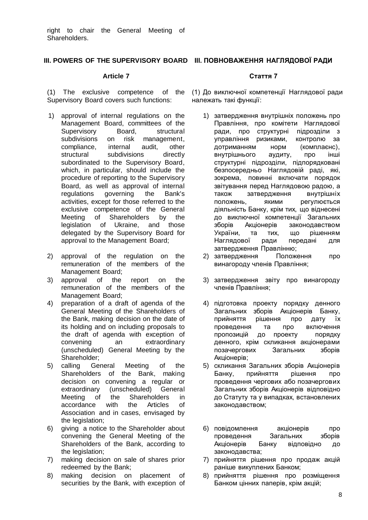# **III. POWERS OF THE SUPERVISORY BOARD ІІІ. ПОВНОВАЖЕННЯ НАГЛЯДОВОЇ РАДИ**

#### **Article 7**

(1) The exclusive competence of the Supervisory Board covers such functions:

- 1) approval of internal regulations on the Management Board, committees of the Supervisory Board, structural subdivisions on risk management, compliance, internal audit, other structural subdivisions directly subordinated to the Supervisory Board, which, in particular, should include the procedure of reporting to the Supervisory Board, as well as approval of internal regulations governing the Bank's activities, except for those referred to the exclusive competence of the General Meeting of Shareholders by the legislation of Ukraine, and those delegated by the Supervisory Board for approval to the Management Board;
- 2) approval of the regulation on the remuneration of the members of the Management Board;
- 3) approval of the report on the remuneration of the members of the Management Board;
- 4) preparation of a draft of agenda of the General Meeting of the Shareholders of the Bank, making decision on the date of its holding and on including proposals to the draft of agenda with exception of convening an extraordinary (unscheduled) General Meeting by the Shareholder;
- 5) calling General Meeting of the Shareholders of the Bank, making decision on convening a regular or extraordinary (unscheduled) General Meeting of the Shareholders in accordance with the Articles of Association and in cases, envisaged by the legislation;
- 6) giving a notice to the Shareholder about convening the General Meeting of the Shareholders of the Bank, according to the legislation;
- 7) making decision on sale of shares prior redeemed by the Bank;
- 8) making decision on placement of securities by the Bank, with exception of

# **Стаття 7**

(1) До виключної компетенції Наглядової ради належать такі функції:

- 1) затвердження внутрішніх положень про Правління, про комітети Наглядової ради, про структурні підрозділи з управління ризиками, контролю за дотриманням норм (комплаєнс), внутрішнього аудиту, про інші структурні підрозділи, підпорядковані безпосередньо Наглядовій раді, які, зокрема, повинні включати порядок звітування перед Наглядовою радою, а також затвердження внутрішніх положень, якими регулюється діяльність Банку, крім тих, що віднесені до виключної компетенції Загальних зборів Акціонерів законодавством України, та тих, що рішенням Наглядової ради передані для затвердження Правлінню;
- 2) затвердження Положення про винагороду членів Правління;
- 3) затвердження звіту про винагороду членів Правління;
- 4) підготовка проекту порядку денного Загальних зборів Акціонерів Банку, прийняття рішення про дату їх проведення та про включення пропозицій до проекту порядку денного, крім скликання акціонерами позачергових Загальних зборів Акціонерів;
- 5) скликання Загальних зборів Акціонерів Банку, прийняття рішення про проведення чергових або позачергових Загальних зборів Акціонерів відповідно до Статуту та у випадках, встановлених законодавством;
- 6) повідомлення акціонерів про проведення Загальних зборів Акціонерів Банку відповідно до законодавства;
- 7) прийняття рішення про продаж акцій раніше викуплених Банком;
- 8) прийняття рішення про розміщення Банком цінних паперів, крім акцій;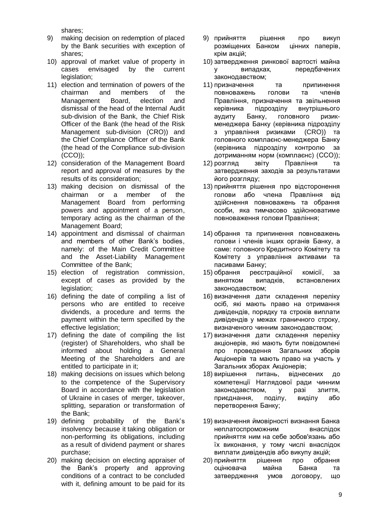shares;

- 9) making decision on redemption of placed by the Bank securities with exception of shares;
- 10) approval of market value of property in cases envisaged by the current legislation;
- 11) election and termination of powers of the chairman and members of the Management Board, election and dismissal of the head of the Internal Audit sub-division of the Bank, the Chief Risk Officer of the Bank (the head of the Risk Management sub-division (CRO)) and the Chief Compliance Officer of the Bank (the head of the Compliance sub-division (CCO));
- 12) consideration of the Management Board report and approval of measures by the results of its consideration;
- 13) making decision on dismissal of the сhairman or a member of the Management Board from performing powers and appointment of a person, temporary acting as the сhairman of the Management Board;
- 14) appointment and dismissal of chairman and members of other Bank's bodies, namely: of the Main Credit Committee and the Asset-Liability Management Committee of the Bank;
- 15) election of registration commission, except of cases as provided by the legislation;
- 16) defining the date of compiling a list of persons who are entitled to receive dividends, a procedure and terms the payment within the term specified by the effective legislation;
- 17) defining the date of compiling the list (register) of Shareholders, who shall be informed about holding a General Meeting of the Shareholders and are entitled to participate in it;
- 18) making decisions on issues which belong to the competence of the Supervisory Board in accordance with the legislation of Ukraine in cases of merger, takeover, splitting, separation or transformation of the Bank;
- 19) defining probability of the Bank's insolvency because it taking obligation or non-performing its obligations, including as a result of dividend payment or shares purchase;
- 20) making decision on electing appraiser of the Bank's property and approving conditions of a contract to be concluded with it, defining amount to be paid for its
- 9) прийняття рішення про викуп розміщених Банком цінних паперів, крім акцій;
- 10) затвердження ринкової вартості майна у випадках, передбачених законодавством;
- 11) призначення та припинення повноважень голови та членів Правління, призначення та звільнення керівника підрозділу внутрішнього аудиту Банку, головного ризикменеджера Банку (керівника підрозділу з управління ризиками (CRO)) та головного комплаєнс-менеджера Банку (керівника підрозділу контролю за дотриманням норм (комплаєнс) (ССО));
- 12) розгляд звіту Правління та затвердження заходів за результатами його розгляду;
- 13) прийняття рішення про відсторонення голови або члена Правління від здійснення повноважень та обрання особи, яка тимчасово здійснюватиме повноваження голови Правління;
- 14) обрання та припинення повноважень голови і членів інших органів Банку, а саме: головного Кредитного Комітету та Комітету з управління активами та пасивами Банку;
- 15) обрання реєстраційної комісії, за винятком випадків, встановлених законодавством;
- 16) визначення дати складення переліку осіб, які мають право на отримання дивідендів, порядку та строків виплати дивідендів у межах граничного строку, визначеного чинним законодавством;
- 17) визначення дати складення переліку акціонерів, які мають бути повідомлені про проведення Загальних зборів Акціонерів та мають право на участь у Загальних зборах Акціонерів;
- 18) вирішення питань, віднесених до компетенції Наглядової ради чинним законодавством, у разі злиття, приєднання, поділу, виділу або перетворення Банку;
- 19) визначення ймовірності визнання Банка неплатоспроможним внаслідок прийняття ним на себе зобов'язань або їх виконання, у тому числі внаслідок виплати дивідендів або викупу акцій;
- 20) прийняття рішення про обрання оцінювача майна Банка та затвердження умов договору, що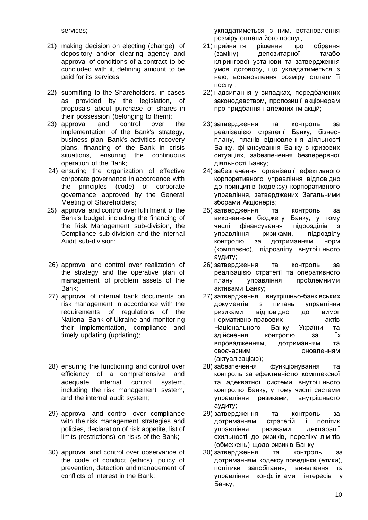services;

- 21) making decision on electing (change) of depository and/or clearing agency and approval of conditions of a contract to be concluded with it, defining amount to be paid for its services;
- 22) submitting to the Shareholders, in cases as provided by the legislation, of proposals about purchase of shares in their possession (belonging to them);
- 23) approval and control over the implementation of the Bank's strategy, business plan, Bank's activities recovery plans, financing of the Bank in crisis situations, ensuring the continuous operation of the Bank;
- 24) ensuring the organization of effective corporate governance in accordance with the principles (code) of corporate governance approved by the General Meeting of Shareholders;
- 25) approval and control over fulfillment of the Bank's budget, including the financing of the Risk Management sub-division, the Compliance sub-division and the Internal Audit sub-division;
- 26) approval and control over realization of the strategy and the operative plan of management of problem assets of the Bank;
- 27) approval of internal bank documents on risk management in accordance with the requirements of regulations of the National Bank of Ukraine and monitoring their implementation, compliance and timely updating (updating);
- 28) ensuring the functioning and control over efficiency of a comprehensive and adequate internal control system, including the risk management system, and the internal audit system;
- 29) approval and control over compliance with the risk management strategies and policies, declaration of risk appetite, list of limits (restrictions) on risks of the Bank;
- 30) approval and control over observance of the code of conduct (ethics), policy of prevention, detection and management of conflicts of interest in the Bank;

укладатиметься з ним, встановлення розміру оплати його послуг;

- 21) прийняття рішення про обрання (заміну) депозитарної та/або клірингової установи та затвердження умов договору, що укладатиметься з нею, встановлення розміру оплати її послуг;
- 22) надсилання у випадках, передбачених законодавством, пропозиції акціонерам про придбання належних їм акцій;
- 23) затвердження та контроль за реалізацією стратегії Банку, бізнесплану, планів відновлення діяльності Банку, фінансування Банку в кризових ситуаціях, забезпечення безперервної діяльності Банку;
- 24) забезпечення організації ефективного корпоративного управління відповідно до принципів (кодексу) корпоративного управління, затверджених Загальними зборами Акціонерів;
- 25) затвердження та контроль за виконанням бюджету Банку, у тому числі фінансування підрозділів з управління ризиками, підрозділу контролю за дотриманням норм (комплаєнс), підрозділу внутрішнього аудиту;
- 26) затвердження та контроль за реалізацією стратегії та оперативного плану управління проблемними активами Банку;
- 27) затвердження внутрішньо-банківських документів з питань управління ризиками відповідно до вимог нормативно-правових актів Національного Банку України та здійснення контролю за їх впровадженням, дотриманням та своєчасним оновленням (актуалізацією);
- 28) забезпечення функціонування та контроль за ефективністю комплексної та адекватної системи внутрішнього контролю Банку, у тому числі системи управління ризиками, внутрішнього аудиту;
- 29) затвердження та контроль за дотриманням стратегій і політик управління ризиками, декларації схильності до ризиків, переліку лімітів (обмежень) щодо ризиків Банку;
- 30) затвердження та контроль за дотриманням кодексу поведінки (етики), політики запобігання, виявлення та управління конфліктами інтересів у Банку;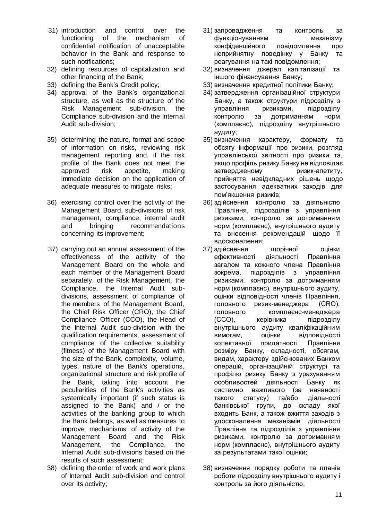- 31) introduction and control over the functioning of the mechanism of confidential notification of unacceptable behavior in the Bank and response to such notifications;
- 32) defining resources of capitalization and other financing of the Bank;
- 33) defining the Bank's Credit policy;
- 34) approval of the Bank's organizational structure, as well as the structure of the Risk Management sub-division, the Compliance sub-division and the Internal Audit sub-division;
- 35) determining the nature, format and scope of information on risks, reviewing risk management reporting and, if the risk profile of the Bank does not meet the approved risk appetite, making immediate decision on the application of adequate measures to mitigate risks;
- 36) exercising control over the activity of the Management Board, sub-divisions of risk management, compliance, internal audit and bringing recommendations concerning its improvement;
- 37) carrying out an annual assessment of the effectiveness of the activity of the Management Board on the whole and each member of the Management Board separately, of the Risk Management, the Compliance, the Internal Audit subdivisions, assessment of compliance of the members of the Management Board, the Chief Risk Officer (CRO), the Chief Compliance Officer (CCO), the Head of the Internal Audit sub-division with the qualification requirements, assessment of compliance of the collective suitability (fitness) of the Management Board with the size of the Bank, complexity, volume, types, nature of the Bank's operations, organizational structure and risk profile of the Bank, taking into account the peculiarities of the Bank's activities as systemically important (if such status is assigned to the Bank) and / or the activities of the banking group to which the Bank belongs, as well as measures to improve mechanisms of activity of the Management Board and the Risk Management, the Compliance, the Internal Audit sub-divisions based on the results of such assessment;
- 38) defining the order of work and work plans of Internal Audit sub-division and control over its activity;
- 31) запровадження та контроль за функціонуванням механізму конфіденційного повідомлення про неприйнятну поведінку у Банку та реагування на такі повідомлення;
- 32) визначення джерел капіталізації та іншого фінансування Банку;
- 33) визначення кредитної політики Банку;
- 34) затвердження організаційної структури Банку, а також структури підрозділу з управління ризиками, підрозділу контролю за дотриманням норм (комплаєнс), підрозділу внутрішнього аудиту;
- 35) визначення характеру, формату та обсягу інформації про ризики, розгляд управлінської звітності про ризики та, якщо профіль ризику Банку не відповідає затвердженому ризик-апетиту, прийняття невідкладних рішень щодо застосування адекватних заходів для пом'якшення ризиків;
- 36) здійснення контролю за діяльністю Правління, підрозділів з управління ризиками, контролю за дотриманням норм (комплаєнс), внутрішнього аудиту та внесення рекомендацій щодо її вдосконалення;
- 37) здійснення щорічної оцінки ефективності діяльності Правління загалом та кожного члена Правління зокрема, підрозділів з управління ризиками, контролю за дотриманням норм (комплаєнс), внутрішнього аудиту, оцінки відповідності членів Правління, головного ризик-менеджера (CRO), головного комплаєнс-менеджера (CCO), керівника підрозділу внутрішнього аудиту кваліфікаційним вимогам, оцінки відповідності колективної придатності Правління розміру Банку, складності, обсягам, видам, характеру здійснюваних Банком операцій, організаційній структурі та профілю ризику Банку з урахуванням особливостей діяльності Банку як системно важливого (за наявності такого статусу) та/або діяльності банківської групи, до складу якої входить Банк, а також вжиття заходів з удосконалення механізмів діяльності Правління та підрозділів з управління ризиками, контролю за дотриманням норм (комплаєнс), внутрішнього аудиту за результатами такої оцінки;
- 38) визначення порядку роботи та планів роботи підрозділу внутрішнього аудиту і контроль за його діяльністю;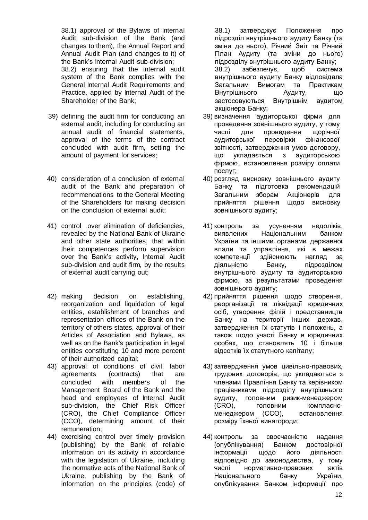38.1) approval of the Bylaws of Internal Audit sub-division of the Bank (and changes to them), the Annual Report and Annual Audit Plan (and changes to it) of the Bank's Internal Audit sub-division; 38.2) ensuring that the internal audit system of the Bank complies with the General Internal Audit Requirements and Рractice, applied by Internal Audit of the Shareholder of the Bank;

- 39) defining the audit firm for conducting an external audit, including for conducting an annual audit of financial statements, approval of the terms of the contract concluded with audit firm, setting the amount of payment for services;
- 40) consideration of a conclusion of external audit of the Bank and preparation of recommendations to the General Meeting of the Shareholders for making decision on the conclusion of external audit;
- 41) control over elimination of deficiencies, revealed by the National Bank of Ukraine and other state authorities, that within their competences perform supervision over the Bank's activity, Internal Audit sub-division and audit firm, by the results of external audit carrying out;
- 42) making decision on establishing, reorganization and liquidation of legal entities, establishment of branches and representation offices of the Bank on the territory of others states, approval of their Articles of Association and Bylaws, as well as on the Bank's participation in legal entities constituting 10 and more percent of their authorized capital;
- 43) approval of conditions of civil, labor agreements (contracts) that are concluded with members of the Management Board of the Bank and the head and employees of Internal Audit sub-division, the Chief Risk Officer (CRO), the Chief Compliance Officer (CCO), determining amount of their remuneration;
- 44) exercising control over timely provision (publishing) by the Bank of reliable information on its activity in accordance with the legislation of Ukraine, including the normative acts of the National Bank of Ukraine, publishing by the Bank of information on the principles (code) of

38.1) затверджує Положення про підрозділ внутрішнього аудиту Банку (та зміни до нього), Річний Звіт та Річний План Аудиту (та зміни до нього) підрозділу внутрішнього аудиту Банку; 38.2) забезпечує, щоб система внутрішнього аудиту Банку відповідала Загальним Вимогам та Практикам Внутрішнього Аудиту, що застосовуються Внутрішнім аудитом акціонера Банку;

- 39) визначення аудиторської фірми для проведення зовнішнього аудиту, у тому числі для проведення щорічної аудиторської перевірки фінансової звітності, затвердження умов договору, що укладається з аудиторською фірмою, встановлення розміру оплати послуг;
- 40) розгляд висновку зовнішнього аудиту Банку та підготовка рекомендацій Загальним зборам Акціонерів для прийняття рішення щодо висновку зовнішнього аудиту;
- 41) контроль за усуненням недоліків, виявлених Національним банком України та іншими органами державної влади та управління, які в межах компетенції здійснюють нагляд за діяльністю Банку, підрозділом внутрішнього аудиту та аудиторською фірмою, за результатами проведення зовнішнього аудиту;
- 42) прийняття рішення щодо створення, реорганізації та ліквідації юридичних осіб, утворення філій і представництв Банку на території інших держав, затвердження їх статутів і положень, а також щодо участі Банку в юридичних особах, що становлять 10 і більше відсотків їх статутного капіталу;
- 43) затвердження умов цивільно-правових, трудових договорів, що укладаються з членами Правління Банку та керівником працівниками підрозділу внутрішнього аудиту, головним ризик-менеджером (CRO), головним комплаєнсменеджером (CCO), встановлення розміру їхньої винагороди;
- 44) контроль за своєчасністю надання (опублікування) Банком достовірної інформації щодо його діяльності відповідно до законодавства, у тому числі нормативно-правових актів Національного банку України, опублікування Банком інформації про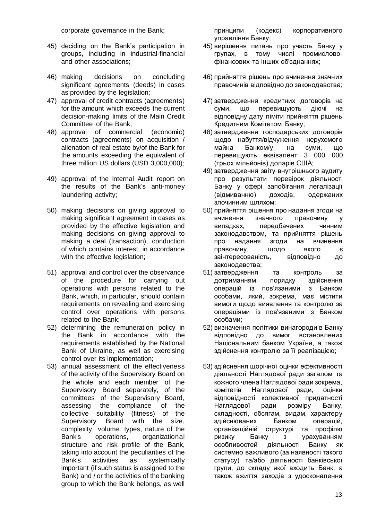corporate governance in the Bank;

- 45) deciding on the Bank's participation in groups, including in industrial-financial and other associations;
- 46) making decisions on concluding significant agreements (deeds) in cases as provided by the legislation;
- 47) approval of credit contracts (agreements) for the amount which exceeds the current decision-making limits of the Main Credit Committee of the Bank;
- 48) approval of commercial (economic) contracts (agreements) on acquisition / alienation of real estate by/of the Bank for the amounts exceeding the equivalent of three million US dollars (USD 3,000,000);
- 49) approval of the Internal Audit report on the results of the Bank's anti-money laundering activity;
- 50) making decisions on giving approval to making significant agreement in cases as provided by the effective legislation and making decisions on giving approval to making a deal (transaction), conduction of which contains interest, in accordance with the effective legislation;
- 51) approval and control over the observance of the procedure for carrying out operations with persons related to the Bank, which, in particular, should contain requirements on revealing and exercising control over operations with persons related to the Bank;
- 52) determining the remuneration policy in the Bank in accordance with the requirements established by the National Bank of Ukraine, as well as exercising control over its implementation;
- 53) annual assessment of the effectiveness of the activity of the Supervisory Board on the whole and each member of the Supervisory Board separately, of the committees of the Supervisory Board, assessing the compliance of the collective suitability (fitness) of the Supervisory Board with the size, complexity, volume, types, nature of the Bank's operations, organizational structure and risk profile of the Bank, taking into account the peculiarities of the Bank's activities as systemically important (if such status is assigned to the Bank) and / or the activities of the banking group to which the Bank belongs, as well

принципи (кодекс) корпоративного управління Банку;

- 45) вирішення питань про участь Банку у групах, в тому числі промисловофінансових та інших об'єднаннях;
- 46) прийняття рішень про вчинення значних правочинів відповідно до законодавства;
- 47) затвердження кредитних договорів на суми, що перевищують діючі на відповідну дату ліміти прийняття рішень Кредитним Комітетом Банку;
- 48) затвердження господарських договорів щодо набуття/відчуження нерухомого майна Банком/у, на суми, що перевищують еквівалент 3 000 000 (трьох мільйонів) доларів США;
- 49) затвердження звіту внутрішнього аудиту про результати перевірок діяльності Банку у сфері запобігання легалізації (відмиванню) доходів, одержаних злочинним шляхом;
- 50) прийняття рішення про надання згоди на вчинення значного правочину у випадках, передбачених чинним законодавством, та прийняття рішень про надання згоди на вчинення правочину, щодо якого є заінтересованість, відповідно до законодавства;
- 51) затвердження та контроль за дотриманням порядку здійснення операцій із пов'язаними з Банком особами, який, зокрема, має містити вимоги щодо виявлення та контролю за операціями із пов'язаними з Банком особами;
- 52) визначення політики винагороди в Банку відповідно до вимог встановлених Національним банком України, а також здійснення контролю за її реалізацією;
- 53) здійснення щорічної оцінки ефективності діяльності Наглядової ради загалом та кожного члена Наглядової ради зокрема, комітетів Наглядової ради, оцінки відповідності колективної придатності Наглядової ради розміру Банку, складності, обсягам, видам, характеру здійснюваних Банком операцій, організаційній структурі та профілю ризику Банку з урахуванням особливостей діяльності Банку як системно важливого (за наявності такого статусу) та/або діяльності банківської групи, до складу якої входить Банк, а також вжиття заходів з удосконалення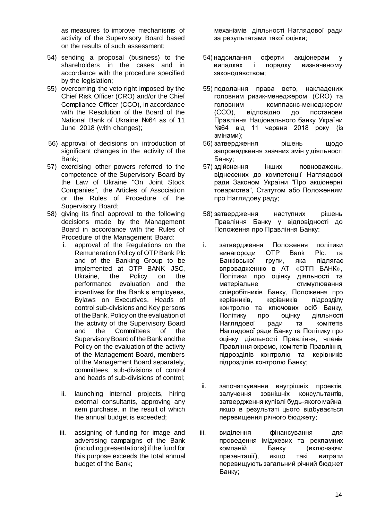as measures to improve mechanisms of activity of the Supervisory Board based on the results of such assessment;

- 54) sending a proposal (business) to the shareholders in the cases and in accordance with the procedure specified by the legislation:
- 55) overcoming the veto right imposed by the Chief Risk Officer (CRO) and/or the Chief Compliance Officer (CCO), in accordance with the Resolution of the Board of the National Bank of Ukraine №64 as of 11 June 2018 (with changes);
- 56) approval of decisions on introduction of significant changes in the activity of the Bank;
- 57) exercising other powers referred to the competence of the Supervisory Board by the Law of Ukraine "On Joint Stock Companies", the Articles of Association or the Rules of Procedure of the Supervisory Board;
- 58) giving its final approval to the following decisions made by the Management Board in accordance with the Rules of Procedure of the Management Board:
	- i. approval of the Regulations on the Remuneration Policy of OTP Bank Plc and of the Banking Group to be implemented at OTP BANK JSC, Ukraine, the Policy on the performance evaluation and the incentives for the Bank's employees, Bylaws on Executives, Heads of control sub-divisions and Key persons of the Bank, Policy on the evaluation of the activity of the Supervisory Board and the Committees of the Supervisory Board of the Bank and the Policy on the evaluation of the activity of the Management Board, members of the Management Board separately, committees, sub-divisions of control and heads of sub-divisions of control;
	- ii. launching internal projects, hiring external consultants, approving any item purchase, in the result of which the annual budget is exceeded;
	- iii. assigning of funding for image and advertising campaigns of the Bank (including presentations) if the fund for this purpose exceeds the total annual budget of the Bank;

механізмів діяльності Наглядової ради за результатами такої оцінки;

- 54) надсилання оферти акціонерам у випадках і порядку визначеному законодавством;
- 55) подолання права вето, накладених головним ризик-менеджером (CRO) та головним комплаєнс-менеджером (ССО), відповідно до постанови Правління Національного банку України №64 від 11 червня 2018 року (із змінами);
- 56) затвердження рішень щодо запровадження значних змін у діяльності Банку;
- 57) здійснення інших повноважень, віднесених до компетенції Наглядової ради Законом України "Про акціонерні товариства", Статутом або Положенням про Наглядову раду;
- 58) затвердження наступних рішень Правління Банку у відповідності до Положення про Правління Банку:
- i. затвердження Положення політики винагороди OTP Bank Plc. та Банківської групи, яка підлягає впровадженню в АТ «ОТП БАНК», Політики про оцінку діяльності та матеріальне стимулювання співробітників Банку, Положення про керівників, керівників підрозділу контролю та ключових осіб Банку, Політику про оцінку діяльності Наглядової ради та комітетів Наглядової ради Банку та Політику про оцінку діяльності Правління, членів Правління окремо, комітетів Правління, підрозділів контролю та керівників підрозділів контролю Банку;
- ii. започаткування внутрішніх проектів, залучення зовнішніх консультантів, затвердження купівлі будь-якого майна, якщо в результаті цього відбувається перевищення річного бюджету;
- iii. виділення фінансування для проведення іміджевих та рекламних компаній Банку (включаючи презентації), якщо такі витрати перевищують загальний річний бюджет Банку;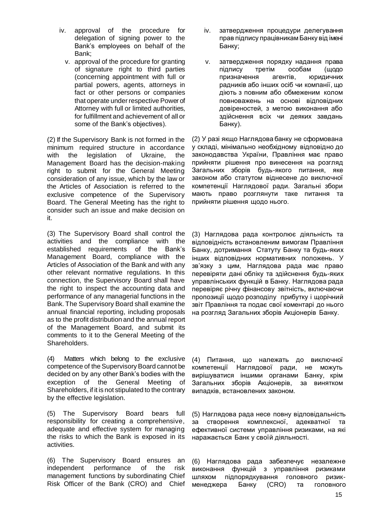- iv. approval of the procedure for delegation of signing power to the Bank's employees on behalf of the Bank;
	- v. approval of the procedure for granting of signature right to third parties (concerning appointment with full or partial powers, agents, attorneys in fact or other persons or companies that operate under respective Power of Attorney with full or limited authorities, for fulfillment and achievement of all or some of the Bank's objectives).

(2) If the Supervisory Bank is not formed in the minimum required structure in accordance with the legislation of Ukraine, the Management Board has the decision-making right to submit for the General Meeting consideration of any issue, which by the law or the Articles of Association is referred to the exclusive competence of the Supervisory Board. The General Meeting has the right to consider such an issue and make decision on it.

(3) The Supervisory Board shall control the activities and the compliance with the established requirements of the Bank's Management Board, compliance with the Articles of Association of the Bank and with any other relevant normative regulations. In this connection, the Supervisory Board shall have the right to inspect the accounting data and performance of any managerial functions in the Bank. The Supervisory Board shall examine the annual financial reporting, including proposals as to the profit distribution and the annual report of the Management Board, and submit its comments to it to the General Meeting of the Shareholders.

(4) Matters which belong to the exclusive competence of the Supervisory Board cannot be decided on by any other Bank's bodies with the exception of the General Meeting of Shareholders, if it is not stipulated to the contrary by the effective legislation.

(5) The Supervisory Board bears full responsibility for creating a comprehensive, adequate and effective system for managing the risks to which the Bank is exposed in its activities.

(6) The Supervisory Board ensures an independent performance of the risk management functions by subordinating Chief Risk Officer of the Bank (CRO) and Chief

- iv. затвердження процедури делегування прав підпису працівникам Банку від імені Банку;
- v. затвердження порядку надання права підпису третім особам (щодо призначення агентів, юридичних радників або інших осіб чи компанії, що діють з повним або обмеженим колом повноважень на основі відповідних довіреностей, з метою виконання або здійснення всіх чи деяких завдань Банку).

(2) У разі якщо Наглядова банку не сформована у складі, мінімально необхідному відповідно до законодавства України, Правління має право прийняти рішення про винесення на розгляд Загальних зборів будь-якого питання, яке законом або статутом віднесене до виключної компетенції Наглядової ради. Загальні збори мають право розглянути таке питання та прийняти рішення щодо нього.

(3) Наглядова рада контролює діяльність та відповідність встановленим вимогам Правління Банку, дотримання Статуту Банку та будь-яких інших відповідних нормативних положень. У зв'язку з цим, Наглядова рада має право перевіряти дані обліку та здійснення будь-яких управлінських функцій в Банку. Наглядова рада перевіряє річну фінансову звітність, включаючи пропозиції щодо розподілу прибутку і щорічний звіт Правління та подає свої коментарі до нього на розгляд Загальних зборів Акціонерів Банку.

(4) Питання, що належать до виключної компетенції Наглядової ради, не можуть вирішуватися іншими органами Банку, крім Загальних зборів Акціонерів, за винятком випадків, встановлених законом.

(5) Наглядова рада несе повну відповідальність за створення комплексної, адекватної та ефективної системи управління ризиками, на які наражається Банк у своїй діяльності.

(6) Наглядова рада забезпечує незалежне виконання функцій з управління ризиками шляхом підпорядкування головного ризикменеджера Банку (CRO) та головного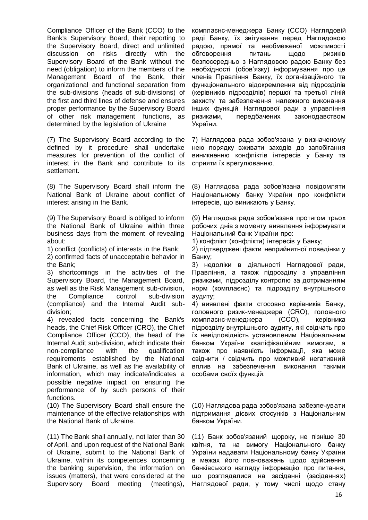Compliance Officer of the Bank (CCO) to the Bank's Supervisory Board, their reporting to the Supervisory Board, direct and unlimited discussion on risks directly with the Supervisory Board of the Bank without the need (obligation) to inform the members of the Management Board of the Bank, their organizational and functional separation from the sub-divisions (heads of sub-divisions) of the first and third lines of defense and ensures proper performance by the Supervisory Board of other risk management functions, as determined by the legislation of Ukraine

(7) The Supervisory Board according to the defined by it procedure shall undertake measures for prevention of the conflict of interest in the Bank and contribute to its settlement.

(8) The Supervisory Board shall inform the National Bank of Ukraine about conflict of interest arising in the Bank.

(9) The Supervisory Board is obliged to inform the National Bank of Ukraine within three business days from the moment of revealing about:

1) conflict (conflicts) of interests in the Bank;

2) confirmed facts of unacceptable behavior in the Bank;

3) shortcomings in the activities of the Supervisory Board, the Management Board, as well as the Risk Management sub-division, the Compliance control sub-division (compliance) and the Internal Audit subdivision;

4) revealed facts concerning the Bank's heads, the Chief Risk Officer (CRO), the Chief Compliance Officer (CCO), the head of the Internal Audit sub-division, which indicate their non-compliance with the qualification requirements established by the National Bank of Ukraine, as well as the availability of information, which may indicate/indicates a possible negative impact on ensuring the performance of by such persons of their functions.

(10) The Supervisory Board shall ensure the maintenance of the effective relationships with the National Bank of Ukraine.

(11) The Bank shall annually, not later than 30 of April, and upon request of the National Bank of Ukraine, submit to the National Bank of Ukraine, within its competences concerning the banking supervision, the information on issues (matters), that were considered at the Supervisory Board meeting (meetings),

комплаєнс-менеджера Банку (CCO) Наглядовій раді Банку, їх звітування перед Наглядовою радою, прямої та необмеженої можливості обговорення питань щодо ризиків безпосередньо з Наглядовою радою Банку без необхідності (обов'язку) інформування про це членів Правління Банку, їх організаційного та функціонального відокремлення від підрозділів (керівників підрозділів) першої та третьої ліній захисту та забезпечення належного виконання інших функцій Наглядової ради з управління ризиками, передбачених законодавством України.

7) Наглядова рада зобов'язана у визначеному нею порядку вживати заходів до запобігання виникненню конфліктів інтересів у Банку та сприяти їх врегулюванню.

(8) Наглядова рада зобов'язана повідомляти Національному банку України про конфлікти інтересів, що виникають у Банку.

(9) Наглядова рада зобов'язана протягом трьох робочих днів з моменту виявлення інформувати Національний банк України про:

1) конфлікт (конфлікти) інтересів у Банку;

2) підтверджені факти неприйнятної поведінки у Банку;

3) недоліки в діяльності Наглядової ради, Правління, а також підрозділу з управління ризиками, підрозділу контролю за дотриманням норм (комплаєнс) та підрозділу внутрішнього аудиту;

4) виявлені факти стосовно керівників Банку, головного ризик-менеджера (CRO), головного комплаєнс-менеджера (CCO), керівника підрозділу внутрішнього аудиту, які свідчать про їх невідповідність установленим Національним банком України кваліфікаційним вимогам, а також про наявність інформації, яка може свідчити / свідчить про можливий негативний вплив на забезпечення виконання такими особами своїх функцій.

(10) Наглядова рада зобов'язана забезпечувати підтримання дієвих стосунків з Національним банком України.

(11) Банк зобов'язаний щороку, не пізніше 30 квітня, та на вимогу Національного банку України надавати Національному банку України в межах його повноважень щодо здійснення банківського нагляду інформацію про питання, що розглядалися на засіданні (засіданнях) Наглядової ради, у тому числі щодо стану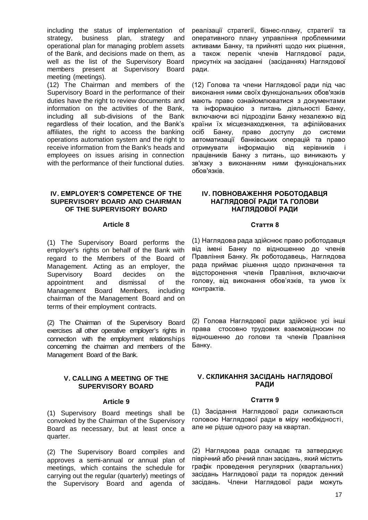including the status of implementation of strategy, business plan, strategy and operational plan for managing problem assets of the Bank, and decisions made on them, as well as the list of the Supervisory Board members present at Supervisory Board meeting (meetings).

(12) The Chairman and members of the Supervisory Board in the performance of their duties have the right to review documents and information on the activities of the Bank, including all sub-divisions of the Bank regardless of their location, and the Bank's affiliates, the right to access the banking operations automation system and the right to receive information from the Bank's heads and employees on issues arising in connection with the performance of their functional duties.

#### **IV. EMPLOYER'S COMPETENCE OF THE SUPERVISORY BOARD AND CHAIRMAN OF THE SUPERVISORY BOARD**

#### **Article 8**

(1) The Supervisory Board performs the employer's rights on behalf of the Bank with regard to the Members of the Board of Management. Acting as an employer, the Supervisory Board decides on the appointment and dismissal of the Management Board Members, including chairman of the Management Board and on terms of their employment contracts.

(2) The Сhairman of the Supervisory Board exercises all other operative employer's rights in connection with the employment relationships concerning the chairman and members of the Management Board of the Bank.

#### **V. CALLING A MEETING OF THE SUPERVISORY BOARD**

#### **Article 9**

(1) Supervisory Board meetings shall be convoked by the Chairman of the Supervisory Board as necessary, but at least once a quarter.

(2) The Supervisory Board compiles and approves a semi-annual or annual plan of meetings, which contains the schedule for carrying out the regular (quarterly) meetings of the Supervisory Board and agenda of

реалізації стратегії, бізнес-плану, стратегії та оперативного плану управління проблемними активами Банку, та прийняті щодо них рішення, а також перелік членів Наглядової ради, присутніх на засіданні (засіданнях) Наглядової ради.

(12) Голова та члени Наглядової ради під час виконання ними своїх функціональних обов'язків мають право ознайомлюватися з документами та інформацією з питань діяльності Банку, включаючи всі підрозділи Банку незалежно від країни їх місцезнаходження, та афілійованих осіб Банку, право доступу до системи автоматизації банківських операцій та право отримувати інформацію від керівників і працівників Банку з питань, що виникають у зв'язку з виконанням ними функціональних обов'язків.

#### **IV. ПОВНОВАЖЕННЯ РОБОТОДАВЦЯ НАГЛЯДОВОЇ РАДИ ТА ГОЛОВИ НАГЛЯДОВОЇ РАДИ**

#### **Стаття 8**

(1) Наглядова рада здійснює право роботодавця від імені Банку по відношенню до членів Правління Банку. Як роботодавець, Наглядова рада приймає рішення щодо призначення та відсторонення членів Правління, включаючи голову, від виконання обов'язків, та умов їх контрактів.

(2) Голова Наглядової ради здійснює усі інші права стосовно трудових взаємовідносин по відношенню до голови та членів Правління Банку.

#### **V. СКЛИКАННЯ ЗАСІДАНЬ НАГЛЯДОВОЇ РАДИ**

#### **Стаття 9**

(1) Засідання Наглядової ради скликаються головою Наглядової ради в міру необхідності, але не рідше одного разу на квартал.

(2) Наглядова рада складає та затверджує піврічний або річний план засідань, який містить графік проведення регулярних (квартальних) засідань Наглядової ради та порядок денний засідань. Члени Наглядової ради можуть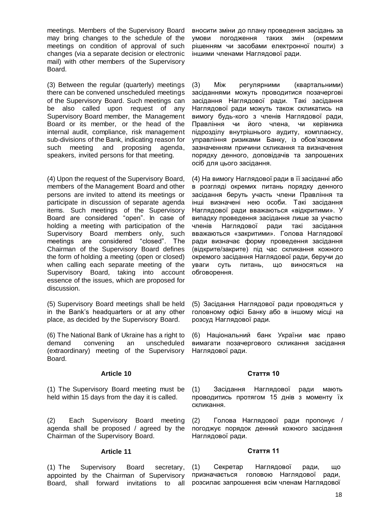meetings. Members of the Supervisory Board may bring changes to the schedule of the meetings on condition of approval of such changes (via a separate decision or electronic mail) with other members of the Supervisory Board.

(3) Between the regular (quarterly) meetings there can be convened unscheduled meetings of the Supervisory Board. Such meetings can be also called upon request of any Supervisory Board member, the Management Board or its member, or the head of the internal audit, compliance, risk management sub-divisions of the Bank, indicating reason for such meeting and proposing agenda, speakers, invited persons for that meeting.

(4) Upon the request of the Supervisory Board, members of the Management Board and other persons are invited to attend its meetings or participate in discussion of separate agenda items. Such meetings of the Supervisory Board are considered "open". In case of holding a meeting with participation of the Supervisory Board members only, such meetings are considered "closed". The Chairman of the Supervisory Board defines the form of holding a meeting (open or closed) when calling each separate meeting of the Supervisory Board, taking into account essence of the issues, which are proposed for discussion.

(5) Supervisory Board meetings shall be held in the Bank's headquarters or at any other place, as decided by the Supervisory Board.

(6) The National Bank of Ukraine has a right to demand convening an unscheduled (extraordinary) meeting of the Supervisory Board.

#### **Article 10**

(1) The Supervisory Board meeting must be held within 15 days from the day it is called.

(2) Each Supervisory Board meeting agenda shall be proposed / agreed by the Chairman of the Supervisory Board.

#### **Article 11**

(1) The Supervisory Board secretary, appointed by the Chairman of Supervisory Board, shall forward invitations to all вносити зміни до плану проведення засідань за умови погодження таких змін (окремим рішенням чи засобами електронної пошти) з іншими членами Наглядової ради.

(3) Між регулярними (квартальними) засіданнями можуть проводитися позачергові засідання Наглядової ради. Такі засідання Наглядової ради можуть також скликатись на вимогу будь-кого з членів Наглядової ради, Правління чи його члена, чи керівника підрозділу внутрішнього аудиту, комплаєнсу, управління ризиками Банку, із обов'язковим зазначенням причини скликання та визначення порядку денного, доповідачів та запрошених осіб для цього засідання.

(4) На вимогу Наглядової ради в її засіданні або в розгляді окремих питань порядку денного засідання беруть участь члени Правління та інші визначені нею особи. Такі засідання Наглядової ради вважаються «відкритими». У випадку проведення засідання лише за участю членів Наглядової ради такі засідання вважаються «закритими». Голова Наглядової ради визначає форму проведення засідання (відкрите/закрите) під час скликання кожного окремого засідання Наглядової ради, беручи до уваги суть питань, що виносяться на обговорення.

(5) Засідання Наглядової ради проводяться у головному офісі Банку або в іншому місці на розсуд Наглядової ради.

(6) Національний банк України має право вимагати позачергового скликання засідання Наглядової ради.

#### **Стаття 10**

(1) Засідання Наглядової ради мають проводитись протягом 15 днів з моменту їх скликання.

(2) Голова Наглядової ради пропонує / погоджує порядок денний кожного засідання Наглядової ради.

#### **Стаття 11**

(1) Секретар Наглядової ради, що призначається головою Наглядової ради, розсилає запрошення всім членам Наглядової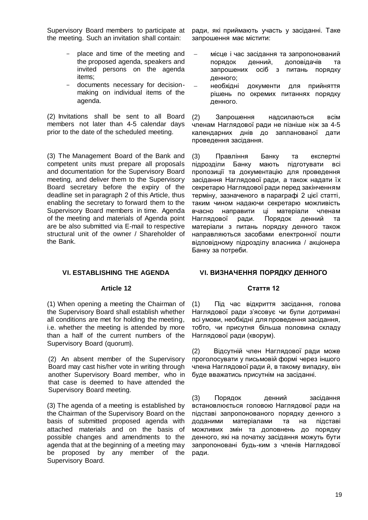Supervisory Board members to participate at the meeting. Such an invitation shall contain:

- place and time of the meeting and the proposed agenda, speakers and invited persons on the agenda items;
- documents necessary for decisionmaking on individual items of the agenda.

(2) Invitations shall be sent to all Board members not later than 4-5 calendar days prior to the date of the scheduled meeting.

(3) The Management Board of the Bank and competent units must prepare all proposals and documentation for the Supervisory Board meeting, and deliver them to the Supervisory Board secretary before the expiry of the deadline set in paragraph 2 of this Article, thus enabling the secretary to forward them to the Supervisory Board members in time. Agenda of the meeting and materials of Agenda point are be also submitted via E-mail to respective structural unit of the owner / Shareholder of the Bank.

ради, які приймають участь у засіданні. Таке запрошення має містити:

- місце і час засідання та запропонований порядок денний, доповідачів та запрошених осіб з питань порядку денного;
- необхідні документи для прийняття рішень по окремих питаннях порядку денного.

(2) Запрошення надсилаються всім членам Наглядової ради не пізніше ніж за 4-5 календарних днів до запланованої дати проведення засідання.

(3) Правління Банку та експертні підрозділи Банку мають підготувати всі пропозиції та документацію для проведення засідання Наглядової ради, а також надати їх секретарю Наглядової ради перед закінченням терміну, зазначеного в параграфі 2 цієї статті, таким чином надаючи секретарю можливість вчасно направити ці матеріали членам Наглядової ради. Порядок денний та матеріали з питань порядку денного також направляються засобами електронної пошти відповідному підрозділу власника / акціонера Банку за потреби.

# **VI. ESTABLISHING THE AGENDA**

# **Article 12**

(1) When opening a meeting the Chairman of the Supervisory Board shall establish whether all conditions are met for holding the meeting, i.e. whether the meeting is attended by more than a half of the current numbers of the Supervisory Board (quorum).

(2) An absent member of the Supervisory Board may cast his/her vote in writing through another Supervisory Board member, who in that case is deemed to have attended the Supervisory Board meeting.

(3) The agenda of a meeting is established by the Chairman of the Supervisory Board on the basis of submitted proposed agenda with attached materials and on the basis of possible changes and amendments to the agenda that at the beginning of a meeting may be proposed by any member of the Supervisory Board.

# **VI. ВИЗНАЧЕННЯ ПОРЯДКУ ДЕННОГО**

# **Стаття 12**

(1) Під час відкриття засідання, голова Наглядової ради з'ясовує чи були дотримані всі умови, необхідні для проведення засідання, тобто, чи присутня більша половина складу Наглядової ради (кворум).

(2) Відсутній член Наглядової ради може проголосувати у письмовій формі через іншого члена Наглядової ради й, в такому випадку, він буде вважатись присутнім на засіданні.

(3) Порядок денний засідання встановлюється головою Наглядової ради на підставі запропонованого порядку денного з доданими матеріалами та на підставі можливих змін та доповнень до порядку денного, які на початку засідання можуть бути запропоновані будь-ким з членів Наглядової ради.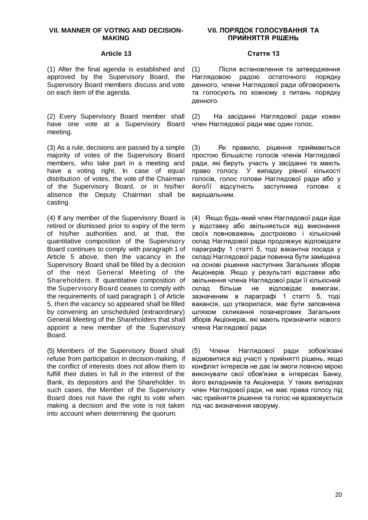#### **VII. MANNER OF VOTING AND DECISION-MAKING**

#### **Article 13**

(1) After the final agenda is established and approved by the Supervisory Board, the Supervisory Board members discuss and vote on each item of the agenda.

(2) Every Supervisory Board member shall have one vote at a Supervisory Board meeting.

(3) As a rule, decisions are passed by a simple majority of votes of the Supervisory Board members, who take part in a meeting and have a voting right. In case of equal distribution of votes, the vote of the Chairman of the Supervisory Board, or in his/her absence the Deputy Chairman shall be casting.

(4) If any member of the Supervisory Board is retired or dismissed prior to expiry of the term of his/her authorities and, at that, the quantitative composition of the Supervisory Board continues to comply with paragraph 1 of Article 5 above, then the vacancy in the Supervisory Board shall be filled by a decision of the next General Meeting of the Shareholders. If quantitative composition of the Supervisory Board ceases to comply with the requirements of said paragraph 1 of Article 5, then the vacancy so appeared shall be filled by convening an unscheduled (extraordinary) General Meeting of the Shareholders that shall appoint a new member of the Supervisory Board.

(5) Members of the Supervisory Board shall refuse from participation in decision-making, if the conflict of interests does not allow them to fulfill their duties in full in the interest of the Bank, its depositors and the Shareholder. In such cases, the Member of the Supervisory Board does not have the right to vote when making a decision and the vote is not taken into account when determining the quorum.

## **VІI. ПОРЯДОК ГОЛОСУВАННЯ ТА ПРИЙНЯТТЯ РІШЕНЬ**

#### **Стаття 13**

(1) Після встановлення та затвердження Наглядовою радою остаточного порядку денного, члени Наглядової ради обговорюють та голосують по кожному з питань порядку денного.

(2) На засіданні Наглядової ради кожен член Наглядової ради має один голос.

(3) Як правило, рішення приймаються простою більшістю голосів членів Наглядової ради, які беруть участь у засіданні та мають право голосу. У випадку рівної кількості голосів, голос голови Наглядової ради або у його/її відсутність заступника голови є вирішальним.

(4) Якщо будь-який член Наглядової ради йде у відставку або звільняється від виконання своїх повноважень достроково і кількісний склад Наглядової ради продовжує відповідати параграфу 1 cтатті 5, тоді вакантна посада у складі Наглядової ради повинна бути заміщена на основі рішення наступних Загальних зборів Акціонерів. Якщо у результаті відставки або звільнення члена Наглядової ради її кількісний склад більше не відповідає вимогам, зазначеним в параграфі 1 статті 5, тоді вакансія, що утворилася, має бути заповнена шляхом скликання позачергових Загальних зборів Акціонерів, які мають призначити нового члена Наглядової ради.

(5) Члени Наглядової ради зобов'язані відмовитися від участі у прийнятті рішень, якщо конфлікт інтересів не дає їм змоги повною мірою виконувати свої обов'язки в інтересах Банку, його вкладників та Акціонера. У таких випадках член Наглядової ради, не має права голосу під час прийняття рішення та голос не враховується під час визначення кворуму.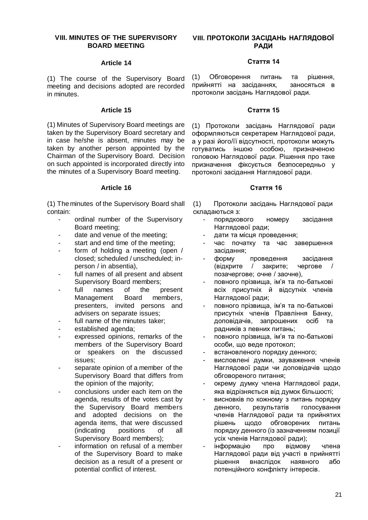# **VIII. MINUTES OF THE SUPERVISORY BOARD MEETING**

#### **Article 14**

(1) The course of the Supervisory Board meeting and decisions adopted are recorded in minutes.

#### **Article 15**

(1) Minutes of Supervisory Board meetings are taken by the Supervisory Board secretary and in case he/she is absent, minutes may be taken by another person appointed by the Chairman of the Supervisory Board. Decision on such appointed is incorporated directly into the minutes of a Supervisory Board meeting.

## **Article 16**

(1) The minutes of the Supervisory Board shall contain:

- ordinal number of the Supervisory Board meeting;
- date and venue of the meeting:
- start and end time of the meeting;
- form of holding a meeting (open / closed; scheduled / unscheduled; inperson / in absentia),
- full names of all present and absent Supervisory Board members;
- full names of the present Management Board members, presenters, invited persons and advisers on separate issues;
- full name of the minutes taker:
- established agenda:
- expressed opinions, remarks of the members of the Supervisory Board or speakers on the discussed issues;
- separate opinion of a member of the Supervisory Board that differs from the opinion of the majority;
- conclusions under each item on the agenda, results of the votes cast by the Supervisory Board members and adopted decisions on the agenda items, that were discussed (indicating positions of all Supervisory Board members);
- information on refusal of a member of the Supervisory Board to make decision as a result of a present or potential conflict of interest.

# **VIII. ПРОТОКОЛИ ЗАСІДАНЬ НАГЛЯДОВОЇ РАДИ**

# **Стаття 14**

(1) Обговорення питань та рішення, прийнятті на засіданнях, заносяться в протоколи засідань Наглядової ради.

#### **Стаття 15**

(1) Протоколи засідань Наглядової ради оформляються секретарем Наглядової ради, а у разі його/її відсутності, протоколи можуть готуватись іншою особою, призначеною головою Наглядової ради. Рішення про таке призначення фіксується безпосередньо у протоколі засідання Наглядової ради.

#### **Стаття 16**

(1) Протоколи засідань Наглядової ради складаються з:

- порядкового номеру засідання Наглядової ради;
- дати та місця проведення;
- час початку та час завершення засідання;
- форму проведення засідання (відкрите / закрите; чергове / позачергове; очне / заочне),
- повного прізвища, ім'я та по-батькові всіх присутніх й відсутніх членів Наглядової ради;
- повного прізвища, ім'я та по-батькові присутніх членів Правління Банку, доповідачів, запрошених осіб та радників з певних питань;
- повного прізвища, ім'я та по-батькові особи, що веде протокол;
- встановленого порядку денного;
- висловлені думки, зауваження членів Наглядової ради чи доповідачів щодо обговореного питання;
- окрему думку члена Наглядової ради, яка відрізняється від думок більшості;
- висновків по кожному з питань порядку денного, результатів голосування членів Наглядової ради та прийнятих рішень щодо обговорених питань порядку денного (із зазначенням позиції усіх членів Наглядової ради);
- інформацію про відмову члена Наглядової ради від участі в прийнятті рішення внаслідок наявного або потенційного конфлікту інтересів.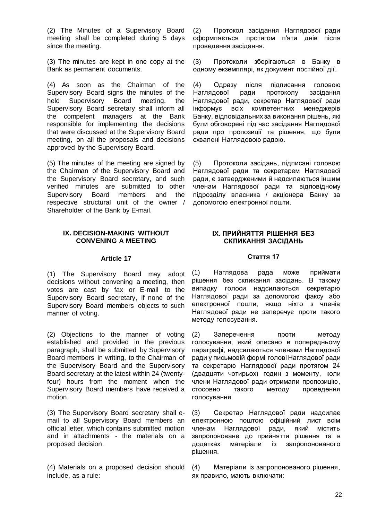(2) The Minutes of a Supervisory Board meeting shall be completed during 5 days since the meeting.

(3) The minutes are kept in one copy at the Bank as permanent documents.

(4) As soon as the Chairman of the Supervisory Board signs the minutes of the held Supervisory Board meeting, the Supervisory Board secretary shall inform all the competent managers at the Bank responsible for implementing the decisions that were discussed at the Supervisory Board meeting, on all the proposals and decisions approved by the Supervisory Board.

(5) The minutes of the meeting are signed by the Chairman of the Supervisory Board and the Supervisory Board secretary, and such verified minutes are submitted to other Supervisory Board members and the respective structural unit of the owner / Shareholder of the Bank by E-mail.

## **IX. DECISION-MAKING WITHOUT CONVENING A MEETING**

#### **Article 17**

(1) The Supervisory Board may adopt decisions without convening a meeting, then votes are cast by fax or E-mail to the Supervisory Board secretary, if none of the Supervisory Board members objects to such manner of voting.

(2) Objections to the manner of voting established and provided in the previous paragraph, shall be submitted by Supervisory Board members in writing, to the Chairman of the Supervisory Board and the Supervisory Board secretary at the latest within 24 (twentyfour) hours from the moment when the Supervisory Board members have received a motion.

(3) The Supervisory Board secretary shall email to all Supervisory Board members an official letter, which contains submitted motion and in attachments - the materials on a proposed decision.

(4) Materials on a proposed decision should include, as a rule:

(2) Протокол засідання Наглядової ради оформляється протягом п'яти днів після проведення засідання.

(3) Протоколи зберігаються в Банку в одному екземплярі, як документ постійної дії.

(4) Одразу після підписання головою Наглядової ради протоколу засідання Наглядової ради, секретар Наглядової ради інформує всіх компетентних менеджерів Банку, відповідальних за виконання рішень, які були обговорені під час засідання Наглядової ради про пропозиції та рішення, що були схвалені Наглядовою радою.

(5) Протоколи засідань, підписані головою Наглядової ради та секретарем Наглядової ради, є затвердженими й надсилаються іншим членам Наглядової ради та відповідному підрозділу власника / акціонера Банку за допомогою електронної пошти.

# **IX. ПРИЙНЯТТЯ РІШЕННЯ БЕЗ СКЛИКАННЯ ЗАСІДАНЬ**

#### **Стаття 17**

(1) Наглядова рада може приймати рішення без скликання засідань. В такому випадку голоси надсилаються секретарю Наглядової ради за допомогою факсу або електронної пошти, якщо ніхто з членів Наглядової ради не заперечує проти такого методу голосування.

(2) Заперечення проти методу голосування, який описано в попередньому параграфі, надсилаються членами Наглядової ради у письмовій формі голові Наглядової ради та секретарю Наглядової ради протягом 24 (двадцяти чотирьох) годин з моменту, коли члени Наглядової ради отримали пропозицію, стосовно такого методу проведення голосування.

(3) Секретар Наглядової ради надсилає електронною поштою офіційний лист всім членам Наглядової ради, який містить запропоноване до прийняття рішення та в додатках матеріали із запропонованого рішення.

(4) Матеріали із запропонованого рішення, як правило, мають включати: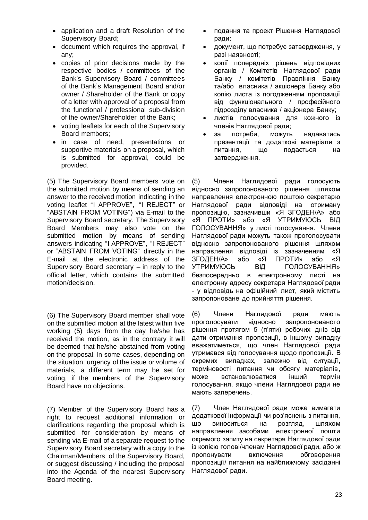- application and a draft Resolution of the Supervisory Board;
- document which requires the approval, if any;
- copies of prior decisions made by the respective bodies / committees of the Bank's Supervisory Board / committees of the Bank's Management Board and/or owner / Shareholder of the Bank or copy of a letter with approval of a proposal from the functional / professional sub-division of the owner/Shareholder of the Bank;
- voting leaflets for each of the Supervisory Board members;
- in case of need, presentations or supportive materials on a proposal, which is submitted for approval, could be provided.

(5) The Supervisory Board members vote on the submitted motion by means of sending an answer to the received motion indicating in the voting leaflet "I APPROVE", "I REJECT" or "ABSTAIN FROM VOTING") via E-mail to the Supervisory Board secretary. The Supervisory Board Members may also vote on the submitted motion by means of sending answers indicating "I APPROVE", "I REJECT" or "ABSTAIN FROM VOTING" directly in the E-mail at the electronic address of the Supervisory Board secretary – in reply to the official letter, which contains the submitted motion/decision.

(6) The Supervisory Board member shall vote on the submitted motion at the latest within five working (5) days from the day he/she has received the motion, as in the contrary it will be deemed that he/she abstained from voting on the proposal. In some cases, depending on the situation, urgency of the issue or volume of materials, a different term may be set for voting, if the members of the Supervisory Board have no objections.

(7) Member of the Supervisory Board has a right to request additional information or clarifications regarding the proposal which is submitted for consideration by means of sending via E-mail of a separate request to the Supervisory Board secretary with a copy to the Chairman/Members of the Supervisory Board, or suggest discussing / including the proposal into the Agenda of the nearest Supervisory Board meeting.

- подання та проект Рішення Наглядової ради;
- документ, що потребує затвердження, у разі наявності;
- копії попередніх рішень відповідних органів / Комітетів Наглядової ради Банку / комітетів Правління Банку та/або власника / акціонера Банку або копію листа із погодженням пропозиції від функціонального / професійного підрозділу власника / акціонера Банку;
- листів голосування для кожного із членів Наглядової ради;
- за потреби, можуть надаватись презентації та додаткові матеріали з питання, що подається на затвердження.

(5) Члени Наглядової ради голосують відносно запропонованого рішення шляхом направлення електронною поштою секретарю Наглядової ради відповіді на отриману пропозицію, зазначивши «Я ЗГОДЕН/А» або «Я ПРОТИ» або «Я УТРИМУЮСЬ ВІД ГОЛОСУВАННЯ» у листі голосування. Члени Наглядової ради можуть також проголосувати відносно запропонованого рішення шляхом направлення відповіді із зазначенням «Я ЗГОДЕН/А» або «Я ПРОТИ» або «Я УТРИМУЮСЬ ВІД ГОЛОСУВАННЯ» безпосередньо в електронному листі на електронну адресу секретаря Наглядової ради - у відповідь на офіційний лист, який містить запропоноване до прийняття рішення.

(6) Члени Наглядової ради мають проголосувати відносно запропонованого рішення протягом 5 (п'яти) робочих днів від дати отримання пропозиції, в іншому випадку вважатиметься, що член Наглядової ради утримався від голосування щодо пропозиції. В окремих випадках, залежно від ситуації, терміновості питання чи обсягу матеріалів, може встановлюватися інший термін голосування, якщо члени Наглядової ради не мають заперечень.

(7) Член Наглядової ради може вимагати додаткової інформації чи роз'яснень з питання, що виноситься на розгляд, шляхом направлення засобами електронної пошти окремого запиту на секретаря Наглядової ради із копією голові/членам Наглядової ради, або ж пропонувати включення обговорення пропозиції/ питання на найближчому засіданні Наглядової ради.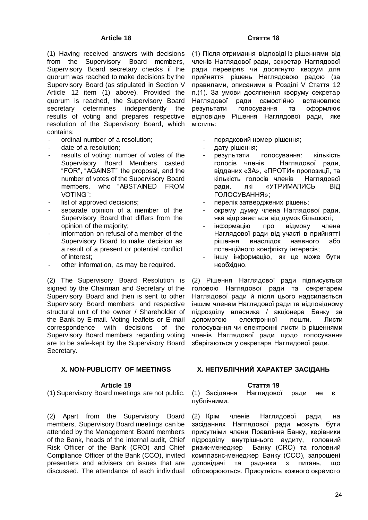## **Article 18**

(1) Having received answers with decisions from the Supervisory Board members, Supervisory Board secretary checks if the quorum was reached to make decisions by the Supervisory Board (as stipulated in Section V Article 12 item (1) above). Provided the quorum is reached, the Supervisory Board secretary determines independently the results of voting and prepares respective resolution of the Supervisory Board, which contains:

- ordinal number of a resolution:
- date of a resolution:
- results of voting: number of votes of the Supervisory Board Members casted "FOR", "AGAINST" the proposal, and the number of votes of the Supervisory Board members, who "ABSTAINED FROM VOTING";
- list of approved decisions;
- separate opinion of a member of the Supervisory Board that differs from the opinion of the majority;
- information on refusal of a member of the Supervisory Board to make decision as a result of a present or potential conflict of interest;
- other information, as may be required.

(2) The Supervisory Board Resolution is signed by the Chairman and Secretary of the Supervisory Board and then is sent to other Supervisory Board members and respective structural unit of the owner / Shareholder of the Bank by E-mail. Voting leaflets or E-mail correspondence with decisions of the Supervisory Board members regarding voting are to be safe-kept by the Supervisory Board Secretary.

# **X. NON-PUBLICITY OF MEETINGS**

#### **Article 19**

(1) Supervisory Board meetings are not public.

(2) Apart from the Supervisory Board members, Supervisory Board meetings can be attended by the Management Board members of the Bank, heads of the internal audit, Chief Risk Officer of the Bank (CRO) and Chief Compliance Officer of the Bank (CCO), invited presenters and advisers on issues that are discussed. The attendance of each individual

# **Стаття 18**

(1) Після отримання відповіді із рішеннями від членів Наглядової ради, секретар Наглядової ради перевіряє чи досягнуто кворум для прийняття рішень Наглядовою радою (за правилами, описаними в Розділі V Cтаття 12 п.(1). За умови досягнення кворуму секретар Наглядової ради самостійно встановлює результати голосування та оформлює відповідне Рішення Наглядової ради, яке містить:

- порядковий номер рішення;
- дату рішення;
- результати голосування: кількість голосів членів Наглядової ради, відданих «ЗА», «ПРОТИ» пропозиції, та кількість голосів членів Наглядової ради, які «УТРИМАЛИСЬ ВІД ГОЛОСУВАННЯ»;
- перелік затверджених рішень;
- окрему думку члена Наглядової ради, яка відрізняється від думок більшості;
- інформацію про відмову члена Наглядової ради від участі в прийнятті рішення внаслідок наявного або потенційного конфлікту інтересів;
- іншу інформацію, як це може бути необхідно.

(2) Рішення Наглядової ради підписується головою Наглядової ради та секретарем Наглядової ради й після цього надсилається іншим членам Наглядової ради та відповідному підрозділу власника / акціонера Банку за допомогою електронної пошти. Листи голосування чи електронні листи із рішеннями членів Наглядової ради щодо голосування зберігаються у секретаря Наглядової ради.

# **X. НЕПУБЛІЧНИЙ ХАРАКТЕР ЗАСІДАНЬ**

#### **Стаття 19**

(1) Засідання Наглядової ради не є публічними.

(2) Крім членів Наглядової ради, на засіданнях Наглядової ради можуть бути присутніми члени Правління Банку, керівники підрозділу внутрішнього аудиту, головний ризик-менеджер Банку (CRO) та головний комплаєнс-менеджер Банку (ССО), запрошені доповідачі та радники з питань, що обговорюються. Присутність кожного окремого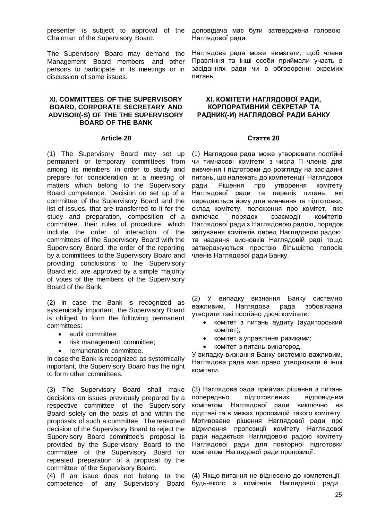presenter is subject to approval of the Chairman of the Supervisory Board.

The Supervisory Board may demand the Management Board members and other persons to participate in its meetings or in discussion of some issues.

# **XI. COMMITTEES OF THE SUPERVISORY BOARD, CORPORATE SECRETARY AND ADVISOR(-S) OF THE THE SUPERVISORY BOARD OF THE BANK**

#### **Article 20**

(1) The Supervisory Board may set up permanent or temporary committees from among its members in order to study and prepare for consideration at a meeting of matters which belong to the Supervisory Board competence. Decision on set up of a committee of the Supervisory Board and the list of issues, that are transferred to it for the study and preparation, composition of a committee, their rules of procedure, which include the order of interaction of the committees of the Supervisory Board with the Supervisory Board, the order of the reporting by a committees to the Supervisory Board and providing conclusions to the Supervisory Board etc. are approved by a simple majority of votes of the members of the Supervisory Board of the Bank.

(2) In case the Bank is recognized as systemically important, the Supervisory Board is obliged to form the following permanent committees:

- audit committee;
- risk management committee:
- remuneration committee.

In case the Bank is recognized as systemically important, the Supervisory Board has the right to form other committees.

(3) The Supervisory Board shall make decisions on issues previously prepared by a respective committee of the Supervisory Board solely on the basis of and within the proposals of such a committee. The reasoned decision of the Supervisory Board to reject the Supervisory Board committee's proposal is provided by the Supervisory Board to the committee of the Supervisory Board for repeated preparation of a proposal by the committee of the Supervisory Board.

(4) If an issue does not belong to the competence of any Supervisory Board доповідача має бути затверджена головою Наглядової ради.

Наглядова рада може вимагати, щоб члени Правління та інші особи приймали участь в засіданнях ради чи в обговоренні окремих питань.

# **ХI. КОМІТЕТИ НАГЛЯДОВОЇ РАДИ, КОРПОРАТИВНИЙ СЕКРЕТАР ТА РАДНИК(-И) НАГЛЯДОВОЇ РАДИ БАНКУ**

#### **Стаття 20**

(1) Наглядова рада може утворювати постійні чи тимчасові комітети з числа її членів для вивчення і підготовки до розгляду на засіданні питань, що належать до компетенції Наглядової ради. Рішення про утворення комітету Наглядової ради та перелік питань, які передаються йому для вивчення та підготовки, склад комітету, положення про комітет, яке включає порядок взаємодії комітетів Наглядової ради з Наглядовою радою, порядок звітування комітетів перед Наглядовою радою, та надання висновків Наглядовій раді тощо затверджуються простою більшістю голосів членів Наглядової ради Банку.

(2) У випадку визнання Банку системно важливим, Наглядова рада зобов'язана утворити такі постійно діючі комітети:

- комітет з питань аудиту (аудиторський комітет);
- комітет з управління ризиками;
- комітет з питань винагород.

У випадку визнання Банку системно важливим, Наглядова рада має право утворювати й інші комітети.

(3) Наглядова рада приймає рішення з питань попередньо підготовлених відповідним комітетом Наглядової ради виключно на підставі та в межах пропозицій такого комітету. Мотивоване рішення Наглядової ради про відхилення пропозиції комітету Наглядової ради надається Наглядовою радою комітету Наглядової ради для повторної підготовки комітетом Наглядової ради пропозиції.

(4) Якщо питання не віднесено до компетенції будь-якого з комітетів Наглядової ради,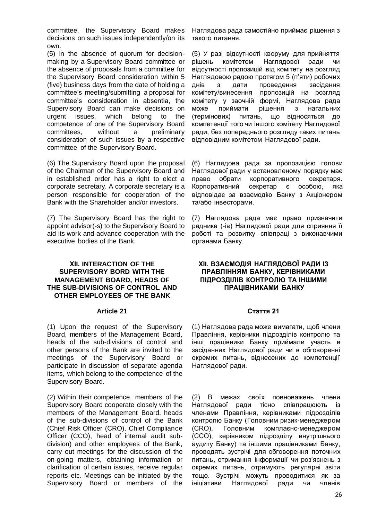committee, the Supervisory Board makes decisions on such issues independently/on its own.

(5) In the absence of quorum for decisionmaking by a Supervisory Board committee or the absence of proposals from a committee for the Supervisory Board consideration within 5 (five) business days from the date of holding a committee's meeting/submitting a proposal for committee's consideration in absentia, the Supervisory Board can make decisions on urgent issues, which belong to the competence of one of the Supervisory Board committees, without a preliminary consideration of such issues by a respective committee of the Supervisory Board.

(6) The Supervisory Board upon the proposal of the Chairman of the Supervisory Board and in established order has a right to elect a corporate secretary. A corporate secretary is a person responsible for cooperation of the Bank with the Shareholder and/or investors.

(7) The Supervisory Board has the right to appoint advisor(-s) to the Supervisory Board to aid its work and advance cooperation with the executive bodies of the Bank.

## **ХІI. INTERACTION OF THE SUPERVISORY BORD WITH THE MANAGEMENT BOARD, HEADS OF THE SUB-DIVISIONS OF CONTROL AND OTHER EMPLOYEES OF THE BANK**

#### **Article 21**

(1) Upon the request of the Supervisory Board, members of the Management Board, heads of the sub-divisions of control and other persons of the Bank are invited to the meetings of the Supervisory Board or participate in discussion of separate agenda items, which belong to the competence of the Supervisory Board.

(2) Within their competence, members of the Supervisory Board cooperate closely with the members of the Management Board, heads of the sub-divisions of control of the Bank (Chief Risk Officer (CRO), Chief Compliance Officer (CCO), head of internal audit subdivision) and other employees of the Bank, carry out meetings for the discussion of the on-going matters, obtaining information or clarification of certain issues, receive regular reports etc. Meetings can be initiated by the Supervisory Board or members of the

Наглядова рада самостійно приймає рішення з такого питання.

(5) У разі відсутності кворуму для прийняття рішень комітетом Наглядової ради чи відсутності пропозицій від комітету на розгляд Наглядовою радою протягом 5 (п'яти) робочих днів з дати проведення засідання комітету/винесення пропозицій на розгляд комітету у заочній формі, Наглядова рада може приймати рішення з нагальних (термінових) питань, що відносяться до компетенції того чи іншого комітету Наглядової ради, без попереднього розгляду таких питань відповідним комітетом Наглядової ради.

(6) Наглядова рада за пропозицією голови Наглядової ради у встановленому порядку має право обрати корпоративного секретаря. Корпоративний секретар є особою, яка відповідає за взаємодію Банку з Акціонером та/або інвесторами.

(7) Наглядова рада має право призначити радника (-ів) Наглядової ради для сприяння її роботі та розвитку співпраці з виконавчими органами Банку.

# **ХІI. ВЗАЄМОДІЯ НАГЛЯДОВОЇ РАДИ ІЗ ПРАВЛІННЯМ БАНКУ, КЕРІВНИКАМИ ПІДРОЗДІЛІВ КОНТРОЛЮ ТА ІНШИМИ ПРАЦІВНИКАМИ БАНКУ**

#### **Стаття 21**

(1) Наглядова рада може вимагати, щоб члени Правління, керівники підрозділів контролю та інші працівники Банку приймали участь в засіданнях Наглядової ради чи в обговоренні окремих питань, віднесених до компетенції Наглядової ради.

(2) В межах своїх повноважень члени Наглядової ради тісно співпрацюють із членами Правління, керівниками підрозділів контролю Банку (Головним ризик-менеджером (CRO), Головним комплаєнс-менеджером (ССО), керівником підрозділу внутрішнього аудиту Банку) та іншими працівниками Банку, проводять зустрічі для обговорення поточних питань, отримання інформації чи роз'яснень з окремих питань, отримують регулярні звіти тощо. Зустрічі можуть проводитися як за ініціативи Наглядової ради чи членів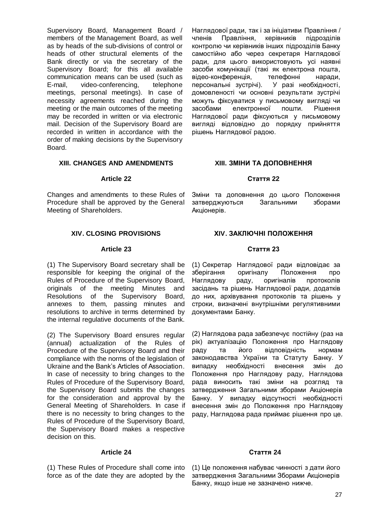Supervisory Board, Management Board / members of the Management Board, as well as by heads of the sub-divisions of control or heads of other structural elements of the Bank directly or via the secretary of the Supervisory Board; for this all available communication means can be used (such as E-mail, video-conferencing, telephone meetings, personal meetings). In case of necessity agreements reached during the meeting or the main outcomes of the meeting may be recorded in written or via electronic mail. Decision of the Supervisory Board are recorded in written in accordance with the order of making decisions by the Supervisory Board.

# **XIII. CHANGES AND AMENDMENTS**

#### **Article 22**

Changes and amendments to these Rules of Procedure shall be approved by the General Meeting of Shareholders.

# **XIV. CLOSING PROVISIONS**

#### **Article 23**

(1) The Supervisory Board secretary shall be responsible for keeping the original of the Rules of Procedure of the Supervisory Board, originals of the meeting Minutes and Resolutions of the Supervisory Board, annexes to them, passing minutes and resolutions to archive in terms determined by the internal regulative documents of the Bank.

(2) The Supervisory Board ensures regular (annual) actualization of the Rules of Procedure of the Supervisory Board and their compliance with the norms of the legislation of Ukraine and the Bank's Articles of Association. In case of necessity to bring changes to the Rules of Procedure of the Supervisory Board, the Supervisory Board submits the changes for the consideration and approval by the General Meeting of Shareholders. In case if there is no necessity to bring changes to the Rules of Procedure of the Supervisory Board, the Supervisory Board makes a respective decision on this.

#### **Article 24**

(1) These Rules of Procedure shall come into force as of the date they are adopted by the Наглядової ради, так і за ініціативи Правління / членів Правління, керівників підрозділів контролю чи керівників інших підрозділів Банку самостійно або через секретаря Наглядової ради, для цього використовують усі наявні засоби комунікації (такі як електрона пошта, відео-конференція, телефонні наради, персональні зустрічі). У разі необхідності, домовленості чи основні результати зустрічі можуть фіксуватися у письмовому вигляді чи засобами електронної пошти. Рішення Наглядової ради фіксуються у письмовому вигляді відповідно до порядку прийняття рішень Наглядової радою.

# **XIII. ЗМІНИ ТА ДОПОВНЕННЯ**

#### **Стаття 22**

Зміни та доповнення до цього Положення затверджуються Загальними зборами Акціонерів.

# **ХIV. ЗАКЛЮЧНІ ПОЛОЖЕННЯ**

# **Стаття 23**

(1) Секретар Наглядової ради відповідає за зберігання оригіналу Положення про Наглядову раду, оригіналів протоколів засідань та рішень Наглядової ради, додатків до них, архівування протоколів та рішень у строки, визначені внутрішніми регулятивними документами Банку.

(2) Наглядова рада забезпечує постійну (раз на рік) актуалізацію Положення про Наглядову раду та його відповідність нормам законодавства України та Статуту Банку. У випадку необхідності внесення змін до Положення про Наглядову раду, Наглядова рада виносить такі зміни на розгляд та затвердження Загальними зборами Акціонерів Банку. У випадку відсутності необхідності внесення змін до Положення про Наглядову раду, Наглядова рада приймає рішення про це.

#### **Стаття 24**

(1) Це положення набуває чинності з дати його затвердження Загальними Зборами Акціонерів Банку, якщо інше не зазначено нижче.